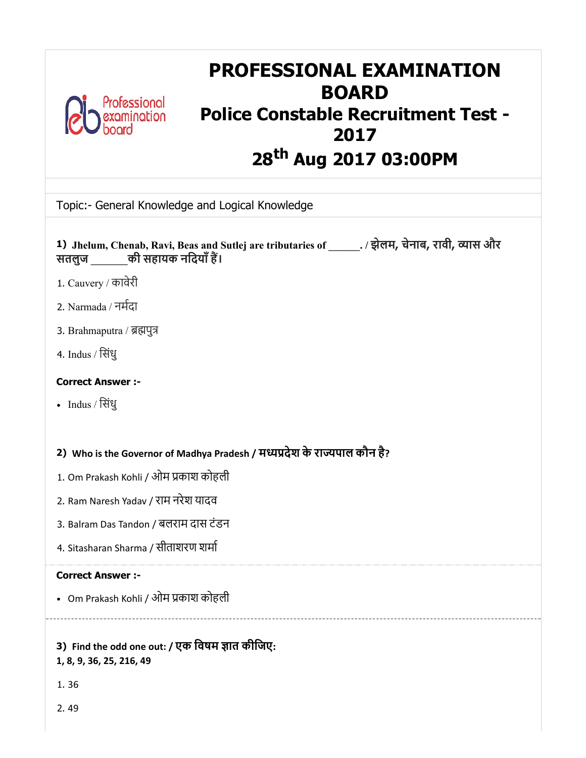

# PROFESSIONAL EXAMINATION BOARD Police Constable Recruitment Test - 2017 28<sup>th</sup> Aug 2017 03:00PM

Topic:- General Knowledge and Logical Knowledge

| 1) Jhelum, Chenab, Ravi, Beas and Sutlej are tributaries of ______. / झेलम, चेनाब, रावी, व्यास और<br>सतलुज की सहायक नदियाँ हैं। |
|---------------------------------------------------------------------------------------------------------------------------------|
| 1. Cauvery / कावेरी                                                                                                             |
| 2. Narmada / नर्मदा                                                                                                             |
| 3. Brahmaputra / ब्रह्मपुत्र                                                                                                    |
| 4. Indus / सिंधु                                                                                                                |
| <b>Correct Answer :-</b>                                                                                                        |
| • Indus / सिंधु                                                                                                                 |
|                                                                                                                                 |
| 2) Who is the Governor of Madhya Pradesh / मध्यप्रदेश के राज्यपाल कौन है?                                                       |
| 1. Om Prakash Kohli / ओम प्रकाश कोहली                                                                                           |
| 2. Ram Naresh Yadav / राम नरेश यादव                                                                                             |
| 3. Balram Das Tandon / बलराम दास टंडन                                                                                           |
| 4. Sitasharan Sharma / सीताशरण शर्मा                                                                                            |
| <b>Correct Answer :-</b>                                                                                                        |
| • Om Prakash Kohli / ओम प्रकाश कोहली                                                                                            |
|                                                                                                                                 |
| 3) Find the odd one out: / एक विषम ज्ञात कीजिए:<br>1, 8, 9, 36, 25, 216, 49                                                     |
| 1.36                                                                                                                            |
| 2.49                                                                                                                            |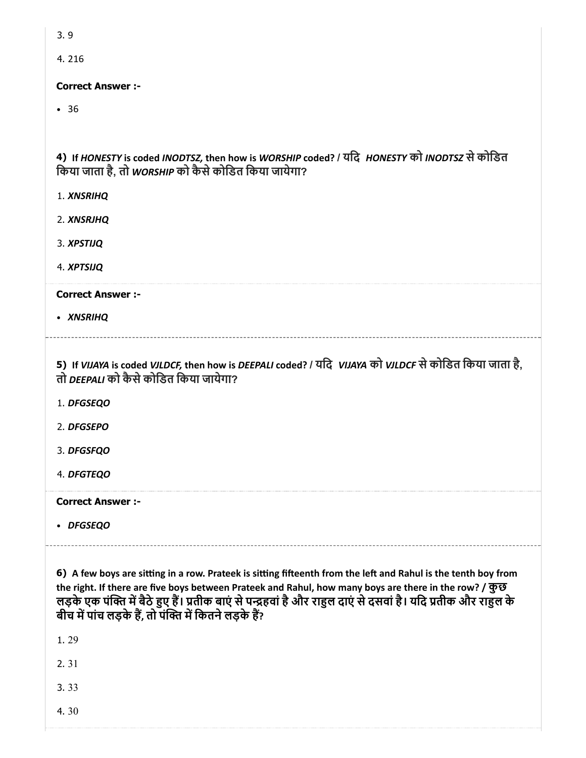| ۰.<br>M. | ×<br>۰,<br>۰.<br>× |
|----------|--------------------|
|          |                    |

4. 216

#### Correct Answer :-

36

4) If HONESTY is coded INODTSZ, then how is WORSHIP coded? / यदि HONESTY को INODTSZ से कोडित िकया जाता है, तो WORSHIP को कैसेकोिडत िकया जायेगा?

- 1. XNSRIHQ
- 2. XNSRJHQ
- 3. XPSTIJQ
- 4. XPTSIJQ

Correct Answer :-

XNSRIHQ

5) If VIJAYA is coded VJLDCF, then how is DEEPALI coded? / यिद VIJAYA को VJLDCF सेकोिडत िकया जाता है, तो *DEEPALI* को कैसे कोडित किया जायेगा?

- 1. DFGSEQO
- 2. DFGSEPO
- 3. DFGSFQO
- 4. DFGTEQO

Correct Answer :-

DFGSEQO

6) A few boys are sitting in a row. Prateek is sitting fifteenth from the left and Rahul is the tenth boy from the right. If there are five boys between Prateek and Rahul, how many boys are there in the row? / कुछ लड़के एक पंक्ति में बैठे हुए हैं। प्रतीक बाएं से पन्द्रहवां है और राहुल दाएं से दसवां है। यदि प्रतीक और राहुल के बीच में पांच लड़के हैं, तो पंक्ति में कितने लड़के हैं?

1. 29

2. 31

3. 33

4. 30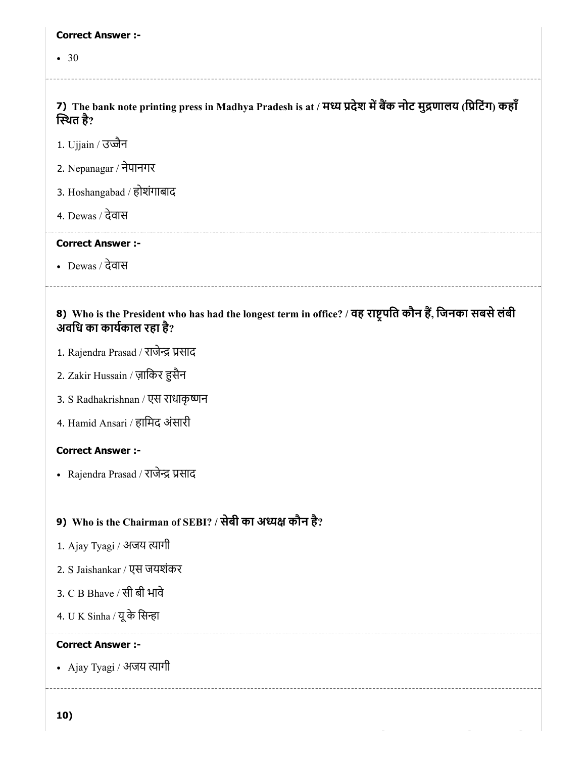#### Correct Answer :-

• 30

7) The bank note printing press in Madhya Pradesh is at / मध्य प्रदेश में बैंक नोट मुद्रणालय (प्रिंटिंग) कहाँ थत है?

- 1. Ujjain / उज्जैन
- 2. Nepanagar / नेपानगर
- 3. Hoshangabad / होशंगाबाद
- 4. Dewas / देवास

#### Correct Answer :-

Dewas / देवास

#### 8) Who is the President who has had the longest term in office? / वह राष्ट्रपति कौन है, जिनका सबसे लबी अविध का कायकाल रहा है?

- 1. Rajendra Prasad / राजेन्द्र प्रसाद
- 2. Zakir Hussain / ज़ािकर सैन
- 3. S Radhakrishnan / एस राधाकृष्णन
- 4. Hamid Ansari / हािमद अंसारी

#### Correct Answer :-

• Rajendra Prasad / राजेन्द्र प्रसाद

#### 9) Who is the Chairman of SEBI? / सेबी का अध्यक्ष कौन है?

- 1. Ajay Tyagi / अजय त्यागी
- 2. S Jaishankar / एस जयशंकर
- 3. C B Bhave / सी बी भावे
- 4.  $U K$  Sinha / यू के सिन्हा

#### Correct Answer :-

• Ajay Tyagi / अजय त्यागी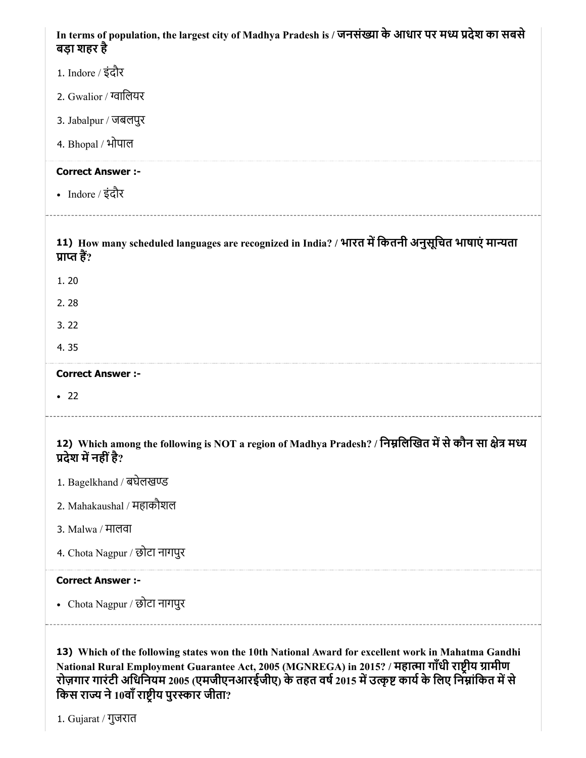| In terms of population, the largest city of Madhya Pradesh is / जनसंख्या के आधार पर मध्य प्रदेश का सबसे<br>बड़ा शहर है                                                                               |
|------------------------------------------------------------------------------------------------------------------------------------------------------------------------------------------------------|
| 1. Indore / इंदौर                                                                                                                                                                                    |
| 2. Gwalior / ग्वालियर                                                                                                                                                                                |
| 3. Jabalpur / जबलपुर                                                                                                                                                                                 |
| 4. Bhopal / भोपाल                                                                                                                                                                                    |
| <b>Correct Answer :-</b>                                                                                                                                                                             |
| • Indore / इंदौर                                                                                                                                                                                     |
| 11) How many scheduled languages are recognized in India? / भारत में कितनी अनुसूचित भाषाएं मान्यता<br>प्राप्त हैं?                                                                                   |
| 1.20                                                                                                                                                                                                 |
| 2.28                                                                                                                                                                                                 |
| 3.22                                                                                                                                                                                                 |
| 4.35                                                                                                                                                                                                 |
| <b>Correct Answer :-</b>                                                                                                                                                                             |
| $\bullet$ 22                                                                                                                                                                                         |
| 12) Which among the following is NOT a region of Madhya Pradesh? / निम्नलिखित में से कौन सा क्षेत्र मध्य<br>प्रदेश में नहीं है?                                                                      |
| 1. Bagelkhand / बघेलखण्ड                                                                                                                                                                             |
| 2. Mahakaushal / महाकौशल                                                                                                                                                                             |
| 3. Malwa / मालवा                                                                                                                                                                                     |
| 4. Chota Nagpur / छोटा नागपुर                                                                                                                                                                        |
| <b>Correct Answer :-</b>                                                                                                                                                                             |
| • Chota Nagpur / छोटा नागपुर                                                                                                                                                                         |
| 13) Which of the following states won the 10th National Award for excellent work in Mahatma Gandhi<br>wleyment Cuerantee Act, 2005 (MCNDECA) :  20152 / <del>Heran</del> ਸਾँsh <del>ਗਲੀਸ ਸਾਮੀਗ</del> |

National Rural Employment Guarantee Act, 2005 (MGNREGA) in 2015? / महात्मा गांधी राष्ट्रीय ग्रामीण रोज़गार गारंटी अधिनियम 2005 (एमजीएनआरईजीए) के तहत वर्ष 2015 में उत्कृष्ट कार्य के लिए निम्नांकित में से किस राज्य ने 10वां राष्ट्रीय पुरस्कार जीता?

1. Gujarat / गुजरात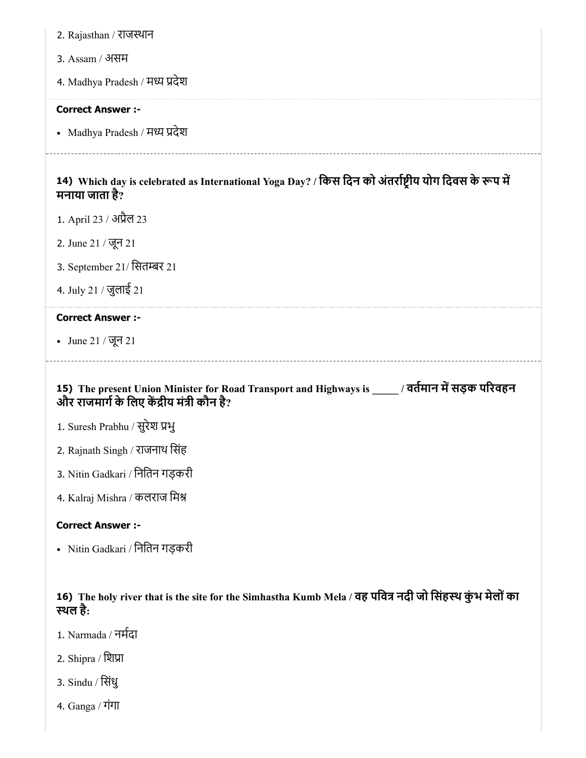| 2. Rajasthan / राजस्थान                                                                                                                       |
|-----------------------------------------------------------------------------------------------------------------------------------------------|
| 3. Assam / असम                                                                                                                                |
| 4. Madhya Pradesh / मध्य प्रदेश                                                                                                               |
| <b>Correct Answer :-</b>                                                                                                                      |
| • Madhya Pradesh / मध्य प्रदेश                                                                                                                |
| 14) Which day is celebrated as International Yoga Day? / किस दिन को अंतर्राष्ट्रीय योग दिवस के रूप में<br>मनाया जाता है?                      |
| 1. April 23 / अप्रैल 23                                                                                                                       |
| 2. June 21 / जून 21                                                                                                                           |
| 3. September 21/ सितम्बर 21                                                                                                                   |
| 4. July 21 / जुलाई 21                                                                                                                         |
| <b>Correct Answer :-</b>                                                                                                                      |
| • June 21 / जून 21                                                                                                                            |
| 15) The present Union Minister for Road Transport and Highways is ____/ वर्तमान में सड़क परिवहन<br>और राजमार्ग के लिए केंद्रीय मंत्री कौन है? |
| 1. Suresh Prabhu / सुरेश प्रभु                                                                                                                |
| 2. Rajnath Singh / राजनाथ सिंह                                                                                                                |
| 3. Nitin Gadkari / नितिन गड़करी                                                                                                               |
| 4. Kalraj Mishra / कलराज मिश्र                                                                                                                |
| <b>Correct Answer :-</b>                                                                                                                      |

- Nitin Gadkari / नितिन गड़करी

16) The holy river that is the site for the Simhastha Kumb Mela / वह पवित्र नदी जो सिंहस्थ कुभ मेलों का थल है:

- 1. Narmada / नमदा
- 2. Shipra / शिप्रा
- 3. Sindu / सिंधु
- 4. Ganga / गंगा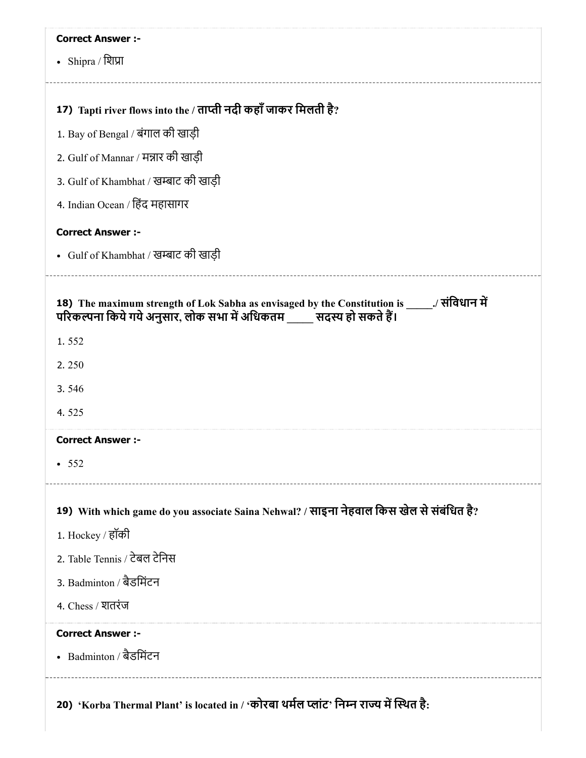| <b>Correct Answer :-</b>                                                                                                                                          |
|-------------------------------------------------------------------------------------------------------------------------------------------------------------------|
| • Shipra / शिप्रा                                                                                                                                                 |
|                                                                                                                                                                   |
| 17) Tapti river flows into the / ताप्ती नदी कहाँ जाकर मिलती है?                                                                                                   |
| 1. Bay of Bengal / बंगाल की खाड़ी                                                                                                                                 |
| 2. Gulf of Mannar / मन्नार की खाड़ी                                                                                                                               |
| 3. Gulf of Khambhat / खम्बाट की खाड़ी                                                                                                                             |
| 4. Indian Ocean / हिंद महासागर                                                                                                                                    |
| <b>Correct Answer :-</b>                                                                                                                                          |
| • Gulf of Khambhat / खम्बाट की खाड़ी                                                                                                                              |
| 18) The maximum strength of Lok Sabha as envisaged by the Constitution is _____./ संविधान में<br>परिकल्पना किये गये अनुसार, लोक सभा में अधिकतम सदस्य हो सकते हैं। |
| 1.552                                                                                                                                                             |
| 2.250                                                                                                                                                             |
| 3.546                                                                                                                                                             |
| 4.525                                                                                                                                                             |
| <b>Correct Answer :-</b>                                                                                                                                          |
| • 552                                                                                                                                                             |
| 19) With which game do you associate Saina Nehwal? / साइना नेहवाल किस खेल से संबंधित है?                                                                          |
| 1. Hockey / हॉकी                                                                                                                                                  |
| 2. Table Tennis / टेबल टेनिस                                                                                                                                      |
| 3. Badminton / बैडमिंटन                                                                                                                                           |
| 4. Chess / शतरंज                                                                                                                                                  |
| <b>Correct Answer :-</b>                                                                                                                                          |
| • Badminton / बैडमिंटन                                                                                                                                            |
| 20) 'Korba Thermal Plant' is located in / 'कोरबा थर्मल प्लांट' निम्न राज्य में स्थित है:                                                                          |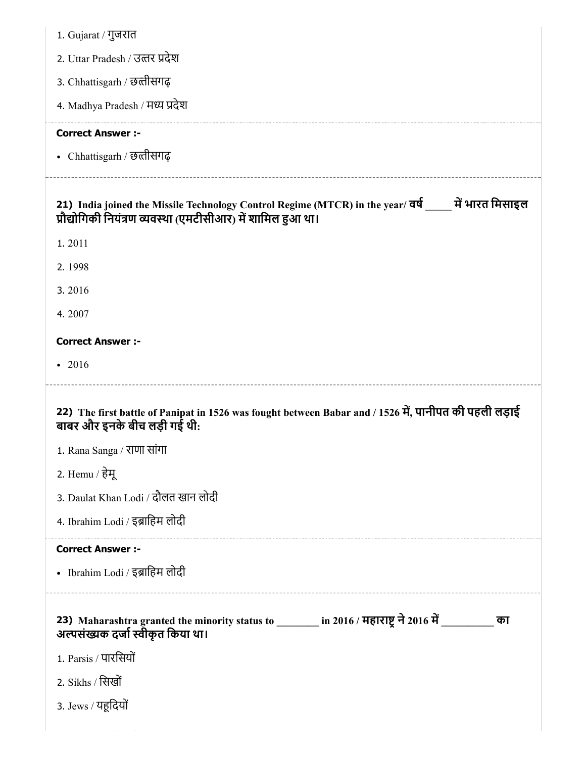| 1. Gujarat / गुजरात                                                                                                                                                 |
|---------------------------------------------------------------------------------------------------------------------------------------------------------------------|
| 2. Uttar Pradesh / उत्तर प्रदेश                                                                                                                                     |
| 3. Chhattisgarh / छत्तीसगढ़                                                                                                                                         |
| 4. Madhya Pradesh / मध्य प्रदेश                                                                                                                                     |
| <b>Correct Answer :-</b>                                                                                                                                            |
| • Chhattisgarh / छत्तीसगढ़                                                                                                                                          |
| 21) India joined the Missile Technology Control Regime (MTCR) in the year/ वर्ष ____ में भारत मिसाइल<br>प्रौद्योगिकी नियंत्रण व्यवस्था (एमटीसीआर) में शामिल हुआ था। |
| 1.2011                                                                                                                                                              |
| 2.1998                                                                                                                                                              |
| 3.2016                                                                                                                                                              |
| 4.2007                                                                                                                                                              |
| <b>Correct Answer :-</b>                                                                                                                                            |
| $-2016$                                                                                                                                                             |
|                                                                                                                                                                     |
| 22) The first battle of Panipat in 1526 was fought between Babar and / 1526 में, पानीपत की पहली लड़ाई<br>बाबर और इनके बीच लड़ी गई थी:                               |
| 1. Rana Sanga / राणा सांगा                                                                                                                                          |
| 2. Hemu / हेमू                                                                                                                                                      |
| 3. Daulat Khan Lodi / दौलत खान लोदी                                                                                                                                 |
| 4. Ibrahim Lodi / इब्राहिम लोदी                                                                                                                                     |
| <b>Correct Answer :-</b>                                                                                                                                            |
| • Ibrahim Lodi / इब्राहिम लोदी                                                                                                                                      |
| 23) Maharashtra granted the minority status to ________ in 2016 / महाराष्ट्र ने 2016 में _______<br>का<br>अल्पसंख्यक दर्जा स्वीकृत किया था।                         |
| 1. Parsis / पारसियों                                                                                                                                                |
| 2. Sikhs / सिखों                                                                                                                                                    |
| 3. Jews / यहूदियों                                                                                                                                                  |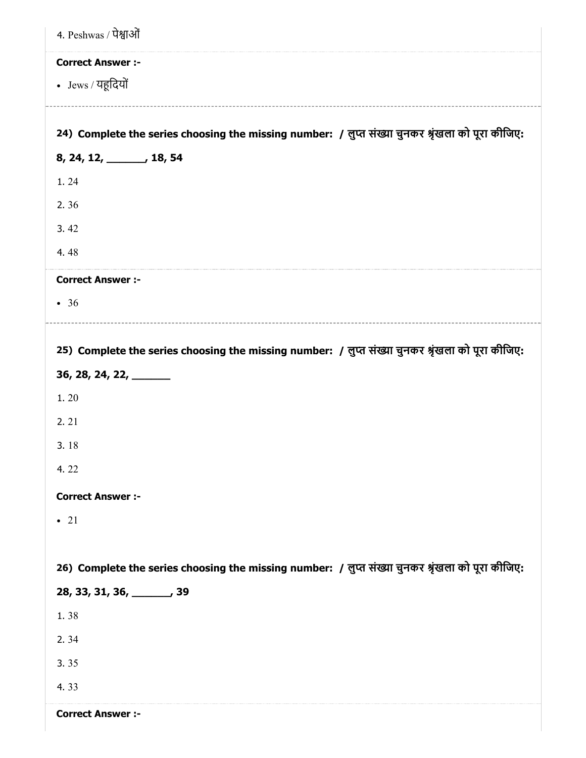| 4. Peshwas / पेश्वाओं                                                                             |
|---------------------------------------------------------------------------------------------------|
| <b>Correct Answer :-</b>                                                                          |
| • Jews / यहूदियों                                                                                 |
|                                                                                                   |
| 24) Complete the series choosing the missing number: / लुप्त संख्या चुनकर श्रृंखला को पूरा कीजिए: |
| 8, 24, 12, 18, 54                                                                                 |
| 1.24                                                                                              |
| 2.36                                                                                              |
| 3.42                                                                                              |
| 4.48                                                                                              |
| <b>Correct Answer :-</b>                                                                          |
| • 36                                                                                              |
|                                                                                                   |
| 25) Complete the series choosing the missing number: / लुप्त संख्या चुनकर श्रृंखला को पूरा कीजिए: |
| $36, 28, 24, 22, \underline{\hspace{1cm}}$                                                        |
| 1.20                                                                                              |
| 2.21                                                                                              |
| 3.18                                                                                              |
| 4.22                                                                                              |
| <b>Correct Answer :-</b>                                                                          |
| $\bullet$ 21                                                                                      |
|                                                                                                   |
| 26) Complete the series choosing the missing number: / लुप्त संख्या चुनकर श्रृंखला को पूरा कीजिए: |
| 28, 33, 31, 36, ______, 39                                                                        |
| 1.38                                                                                              |
| 2.34                                                                                              |
| 3.35                                                                                              |
| 4.33                                                                                              |
| <b>Correct Answer :-</b>                                                                          |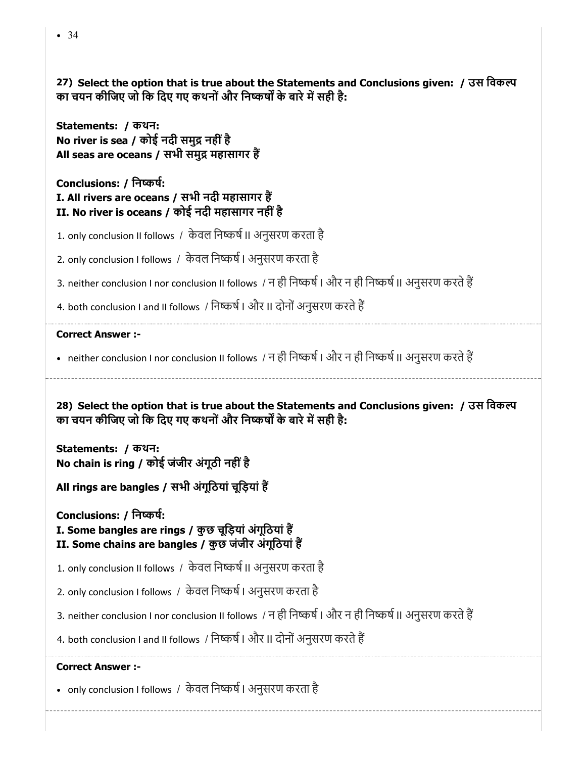27) Select the option that is true about the Statements and Conclusions given: / उस विकल्प का चयन कीजिए जो कि दिए गए कथनों और निष्कर्षों के बारे में सही है:

Statements: / कथन: No river is sea / कोई नदी समुद्र नहीं है All seas are oceans / सभी समुद्र महासागर हैं

Conclusions: / िनकष: I. All rivers are oceans / सभी नदी महासागर ह II. No river is oceans / कोई नदी महासागर नहीं है

1. only conclusion II follows / केवल निष्कर्ष II अनुसरण करता है

2. only conclusion I follows / केवल निष्कर्ष । अनुसरण करता है

3. neither conclusion I nor conclusion II follows / न ही निष्कर्ष | और न ही निष्कर्ष || अनुसरण करते हैं

4. both conclusion I and II follows / निष्कर्ष | और II दोनों अनुसरण करते हैं

#### Correct Answer :-

• neither conclusion I nor conclusion II follows / न ही निष्कर्ष । और न ही निष्कर्ष ।। अनुसरण करते हैं

28) Select the option that is true about the Statements and Conclusions given: / उस िवक का चयन कीजिए जो कि दिए गए कथनों और निष्कर्षों के बारे में सही है:

Statements: / कथन: No chain is ring / कोई जंजीर अंगूठी नहींहै

All rings are bangles / सभी अंगूिठयां चूिड़यां ह

Conclusions: / िनकष:

I. Some bangles are rings / कुछ चूिड़यां अंगूिठयां ह II. Some chains are bangles / कुछ जंजीर अंगूिठयां ह

1. only conclusion II follows / केवल निष्कर्ष II अनुसरण करता है

2. only conclusion I follows / केवल निष्कर्ष । अनुसरण करता है

3. neither conclusion I nor conclusion II follows / न ही निष्कर्ष | और न ही निष्कर्ष || अनुसरण करते हैं

4. both conclusion I and II follows / निष्कर्ष | और II दोनों अनुसरण करते हैं

#### Correct Answer :-

• only conclusion I follows / केवल निष्कर्ष I अनुसरण करता है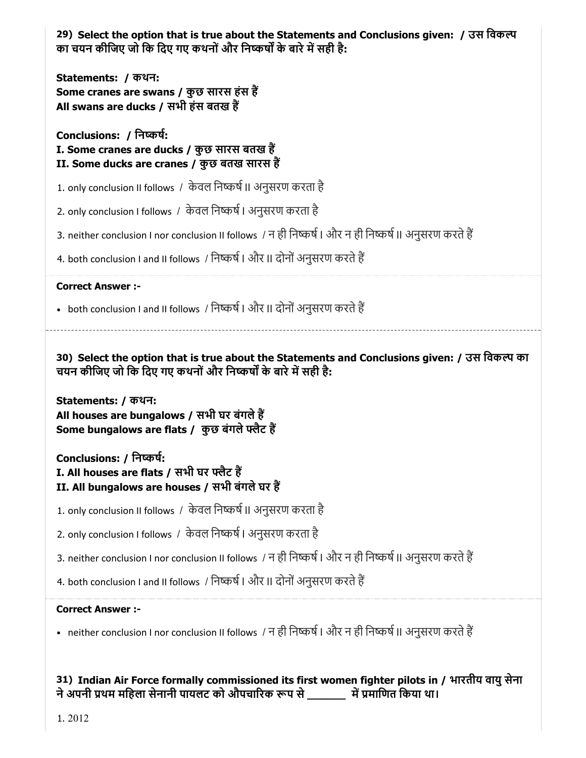29) Select the option that is true about the Statements and Conclusions given: / उस िवक का चयन कीजिए जो कि दिए गए कथनों और निष्कर्षों के बारे में सही है:

Statements: / कथन: Some cranes are swans / कुछ सारस हंस ह All swans are ducks / सभी हंस बतख ह

Conclusions: / िनकष: I. Some cranes are ducks / कुछ सारस बतख हैं II. Some ducks are cranes / कुछ बतख सारस ह

1. only conclusion II follows / केवल निष्कर्ष II अनुसरण करता है

2. only conclusion I follows / केवल निष्कर्ष । अनुसरण करता है

3. neither conclusion I nor conclusion II follows / न ही निष्कर्ष | और न ही निष्कर्ष || अनुसरण करते हैं

4. both conclusion I and II follows / निष्कर्ष | और II दोनों अनुसरण करते हैं

Correct Answer :-

• both conclusion I and II follows / निष्कर्ष I और II दोनों अनुसरण करते हैं

30) Select the option that is true about the Statements and Conclusions given: / उस िवक का चयन कीजिए जो कि दिए गए कथनों और निष्कर्षों के बारे में सही है:

Statements: / कथन: All houses are bungalows / सभी घर बंगले हैं Some bungalows are flats / कुछ बंगले फ्लैट हैं

Conclusions: / िनकष: I. All houses are flats / सभी घर फ्लैट हैं II. All bungalows are houses / सभी बंगले घर हैं

1. only conclusion II follows / केवल निष्कर्ष II अनुसरण करता है

2. only conclusion I follows / केवल निष्कर्ष । अनुसरण करता है

3. neither conclusion I nor conclusion II follows / न ही निष्कर्ष | और न ही निष्कर्ष || अनुसरण करते हैं

4. both conclusion I and II follows / निष्कर्ष | और II दोनों अनुसरण करते हैं

#### Correct Answer :-

• neither conclusion I nor conclusion II follows / न ही निष्कर्ष | और न ही निष्कर्ष || अनुसरण करते हैं

31) Indian Air Force formally commissioned its first women fighter pilots in / भारतीय वायुसेना ने अपनी प्रथम महिला सेनानी पायलट को औपचारिक रूप से \_\_\_\_\_\_ में प्रमाणित किया था।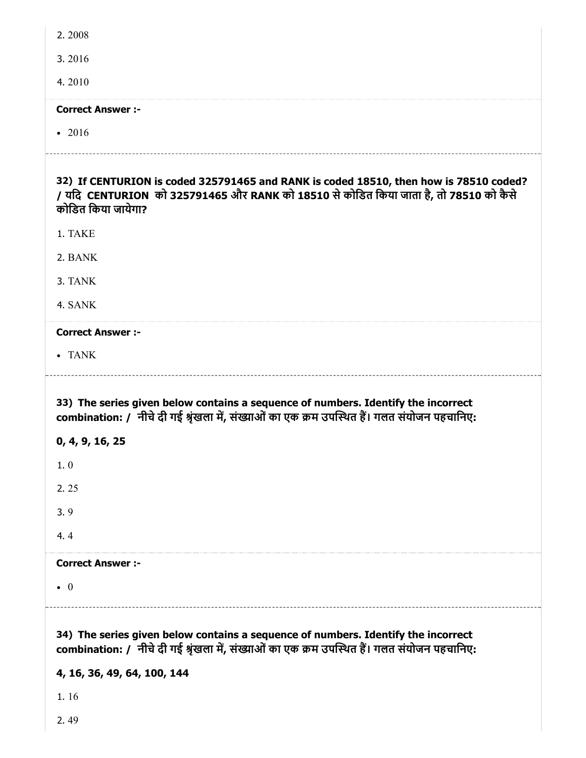| 2.2008                                                                                                                                                                                               |
|------------------------------------------------------------------------------------------------------------------------------------------------------------------------------------------------------|
| 3.2016                                                                                                                                                                                               |
| 4.2010                                                                                                                                                                                               |
| <b>Correct Answer :-</b>                                                                                                                                                                             |
| $-2016$                                                                                                                                                                                              |
| 32) If CENTURION is coded 325791465 and RANK is coded 18510, then how is 78510 coded?<br>/ यदि CENTURION को 325791465 और RANK को 18510 से कोडित किया जाता है, तो 78510 को कैसे<br>कोडित किया जायेगा? |
| 1. TAKE                                                                                                                                                                                              |
| 2. BANK                                                                                                                                                                                              |
| 3. TANK                                                                                                                                                                                              |
| 4. SANK                                                                                                                                                                                              |
| <b>Correct Answer :-</b>                                                                                                                                                                             |
| • TANK                                                                                                                                                                                               |
|                                                                                                                                                                                                      |
| 33) The series given below contains a sequence of numbers. Identify the incorrect<br>combination: / नीचे दी गई श्रृंखला में, संख्याओं का एक क्रम उपस्थित हैं। गलत संयोजन पहचानिए:                    |
| 0, 4, 9, 16, 25                                                                                                                                                                                      |
| 1.0                                                                                                                                                                                                  |
| 2.25                                                                                                                                                                                                 |
| 3.9                                                                                                                                                                                                  |
| 4.4                                                                                                                                                                                                  |
| <b>Correct Answer :-</b>                                                                                                                                                                             |
| $\bullet$ 0                                                                                                                                                                                          |

4, 16, 36, 49, 64, 100, 144

1. 16

2. 49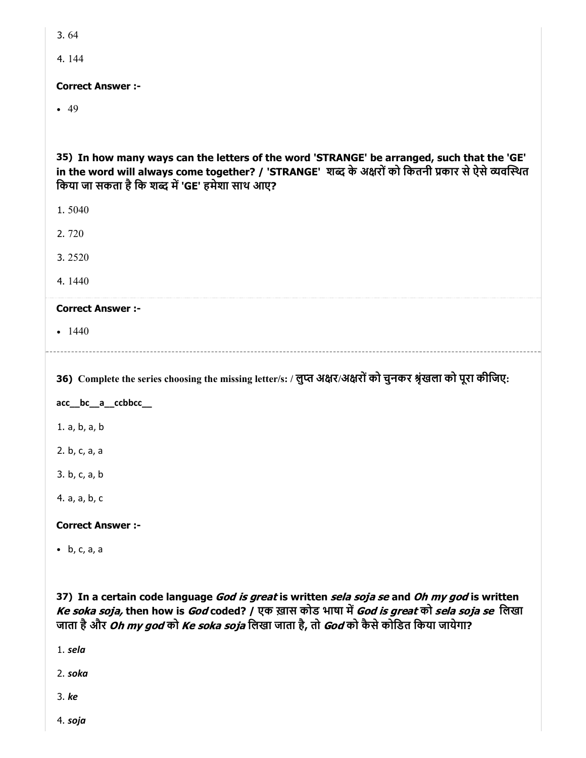3. 64

4. 144

Correct Answer :-

 $-49$ 

35) In how many ways can the letters of the word 'STRANGE' be arranged, such that the 'GE' in the word will always come together? / 'STRANGE' शब्द के अक्षरों को कितनी प्रकार से ऐसे व्यवस्थित किया जा सकता है कि शब्द में 'GE' हमेशा साथ आए?

1. 5040

2. 720

3. 2520

4. 1440

#### Correct Answer :-

 $-1440$ 

36) Complete the series choosing the missing letter/s: / लुप्त अक्षर/अक्षरों को चुनकर श्रृंखला को पूरा कीजिए:

acc\_\_bc\_\_a\_\_ccbbcc\_\_

1. a, b, a, b

2. b, c, a, a

3. b, c, a, b

4. a, a, b, c

Correct Answer :-

b, c, a, a

37) In a certain code language *God is great* is written *sela soja se* and *Oh my god* is written Ke soka soja, then how is God coded? / एक ख़ास कोड भाषा में God is great को sela soja se लिखा जाता है और *Oh my god* को *Ke soka soja* लिखा जाता है, तो *God* को कैसे कोडित किया जायेगा?

1. sela

2. soka

3. ke

4. soja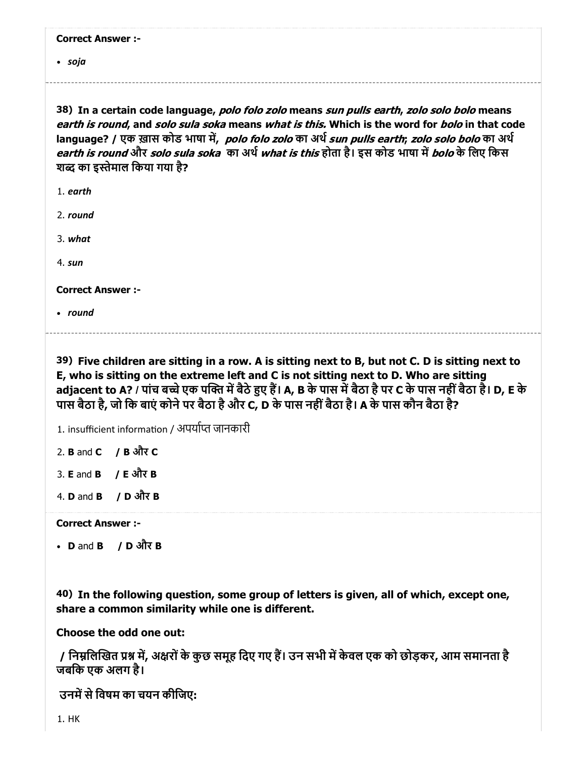|  | <b>Correct Answer :-</b> |  |
|--|--------------------------|--|
|--|--------------------------|--|

soja

38) In a certain code language, *polo folo zolo* means *sun pulls earth, zolo solo bolo* means earth is round, and solo sula soka means what is this. Which is the word for bolo in that code language? / एक ख़ास कोड भाषा में, polo folo zolo का अर्थ sun pulls earth; zolo solo bolo का अर्थ *earth is round* और *solo sula soka का अर्थ what is this* होता है। इस कोड भाषा में *bolo* के लिए किस शब्द का इस्तेमाल किया गया है?

1. earth

2. round

3. what

4. sun

Correct Answer :-

• round

39) Five children are sitting in a row. A is sitting next to B, but not C. D is sitting next to E, who is sitting on the extreme left and C is not sitting next to D. Who are sitting adjacent to A? / पांच बच्चे एक पक्ति में बैठे हुए हैं। A, B के पास में बैठा है पर C के पास नहीं बैठा है। D, E के पास बैठा है, जो िक बाएं कोनेपर बैठा हैऔर C, D के पास नहींबैठा है। A के पास कौन बैठा है?

1. insufficient information / अपर्याप्त जानकारी

2. B and C / B और C

3. **E** and **B**  $\neq$  **E** और **B** 

4. D and B / D और B

Correct Answer :-

D and B / D और B

40) In the following question, some group of letters is given, all of which, except one, share a common similarity while one is different.

Choose the odd one out:

/ निम्नलिखित प्रश्न में, अक्षरों के कुछ समूह दिए गए हैं। उन सभी में केवल एक को छोड़कर, आम समानता है जबिक एक अलग है।

उनमें से विषम का चयन कीजिए: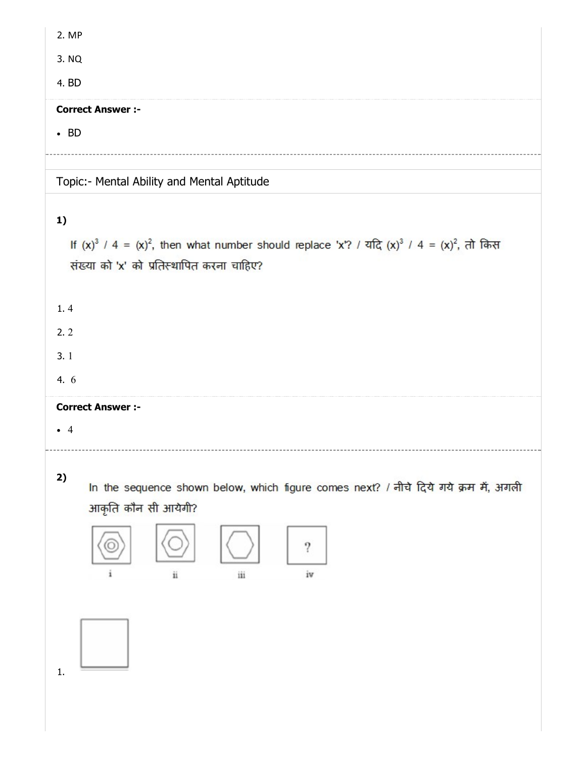|--|--|

3. NQ

4. BD

#### Correct Answer :-

 $-BD$ 

Topic:- Mental Ability and Mental Aptitude

# 1)

If  $(x)^3$  / 4 =  $(x)^2$ , then what number should replace 'x'? / यदि  $(x)^3$  / 4 =  $(x)^2$ , तो किस संख्या को 'x' को प्रतिस्थापित करना चाहिए?

1. 4

2. 2

3. 1

4. 6

# Correct Answer :-

4

2)

In the sequence shown below, which figure comes next? / नीचे दिये गये क्रम में, अगली आकृति कौन सी आयेगी?



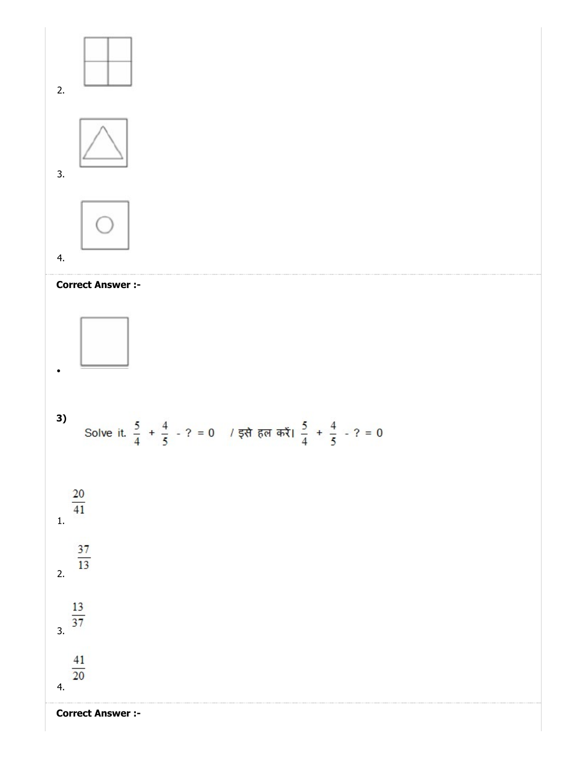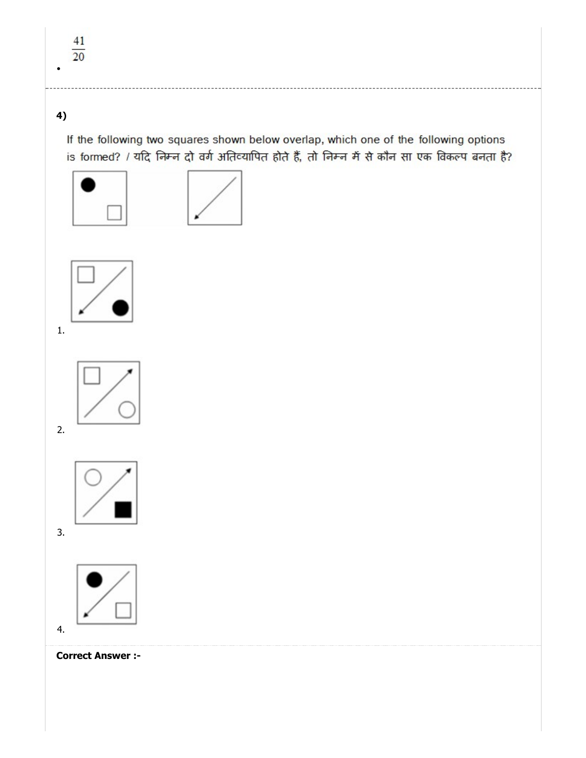# 4)

If the following two squares shown below overlap, which one of the following options is formed? / यदि निम्न दो वर्ग अतिव्यापित होते हैं, तो निम्न में से कौन सा एक विकल्प बनता है?





1.



2.



3.



4.

Correct Answer :-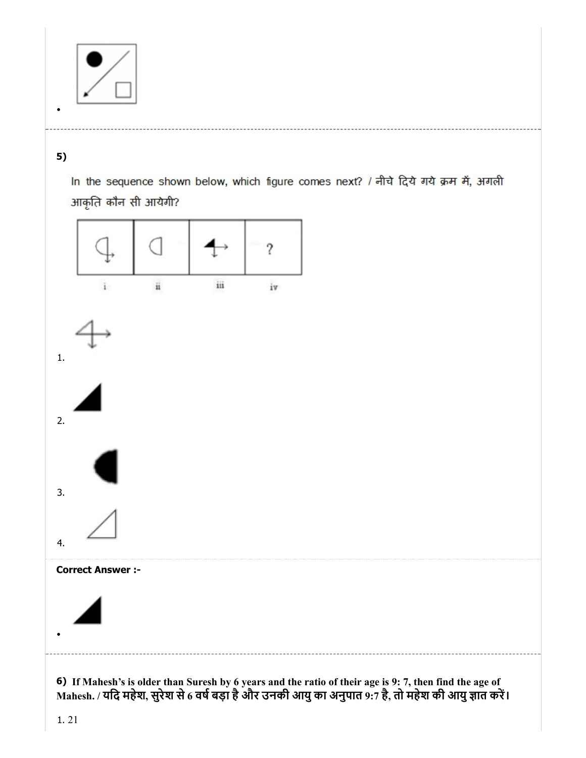

# 5)

In the sequence shown below, which figure comes next? / नीचे दिये गये क्रम में, अगली आकृति कौन सी आयेगी?



6) If Mahesh's is older than Suresh by 6 years and the ratio of their age is 9: 7, then find the age of Mahesh. / यदि महेश, सुरेश से 6 वर्ष बड़ा है और उनकी आयु का अनुपात 9:7 है, तो महेश की आयु ज्ञात करें।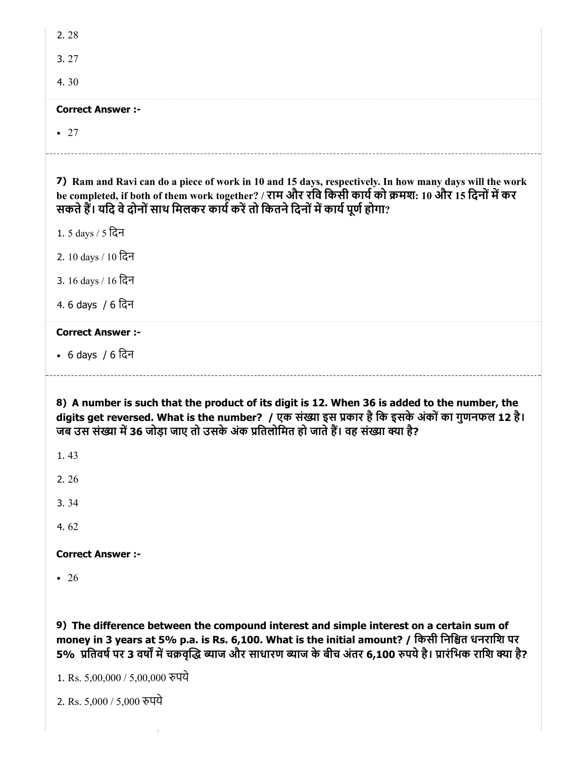| 2.28                                                                                                                                                                                                                                                                                               |
|----------------------------------------------------------------------------------------------------------------------------------------------------------------------------------------------------------------------------------------------------------------------------------------------------|
| 3.27                                                                                                                                                                                                                                                                                               |
| 4.30                                                                                                                                                                                                                                                                                               |
| <b>Correct Answer :-</b>                                                                                                                                                                                                                                                                           |
| $\bullet$ 27                                                                                                                                                                                                                                                                                       |
| 7) Ram and Ravi can do a piece of work in 10 and 15 days, respectively. In how many days will the work<br>be completed, if both of them work together? / राम और रवि किसी कार्य को क्रमश: 10 और 15 दिनों में कर<br>सकते हैं। यदि वे दोनों साथ मिलकर कार्य करें तो कितने दिनों में कार्य पूर्ण होगा? |
| 1. 5 days / 5 दिन                                                                                                                                                                                                                                                                                  |
| 2. 10 days / 10 दिन                                                                                                                                                                                                                                                                                |
| 3. 16 days / 16 दिन                                                                                                                                                                                                                                                                                |
| 4.6 days / 6 दिन                                                                                                                                                                                                                                                                                   |
| <b>Correct Answer:-</b>                                                                                                                                                                                                                                                                            |
| • 6 days / 6 दिन                                                                                                                                                                                                                                                                                   |
| 8) A number is such that the product of its digit is 12. When 36 is added to the number, the<br>digits get reversed. What is the number? / एक संख्या इस प्रकार है कि इसके अंकों का गुणनफल 12 है।<br>जब उस संख्या में 36 जोड़ा जाए तो उसके अंक प्रतिलोमित हो जाते हैं। वह संख्या क्या है?<br>1.43   |
| 2.26                                                                                                                                                                                                                                                                                               |
| 3.34                                                                                                                                                                                                                                                                                               |
| 4.62                                                                                                                                                                                                                                                                                               |
| <b>Correct Answer :-</b>                                                                                                                                                                                                                                                                           |
| $\bullet$ 26                                                                                                                                                                                                                                                                                       |
| 9) The difference between the compound interest and simple interest on a certain sum of<br>money in 3 years at 5% p.a. is Rs. 6,100. What is the initial amount? / किसी निश्चित धनराशि पर                                                                                                          |

5% प्रतिवर्ष पर 3 वर्षों में चक्रवृद्धि ब्याज और साधारण ब्याज के बीच अंतर 6,100 रुपये है। प्रारंभिक राशि क्या है?

1. Rs. 5,00,000 / 5,00,000 पये

2. Rs. 5,000 / 5,000 पये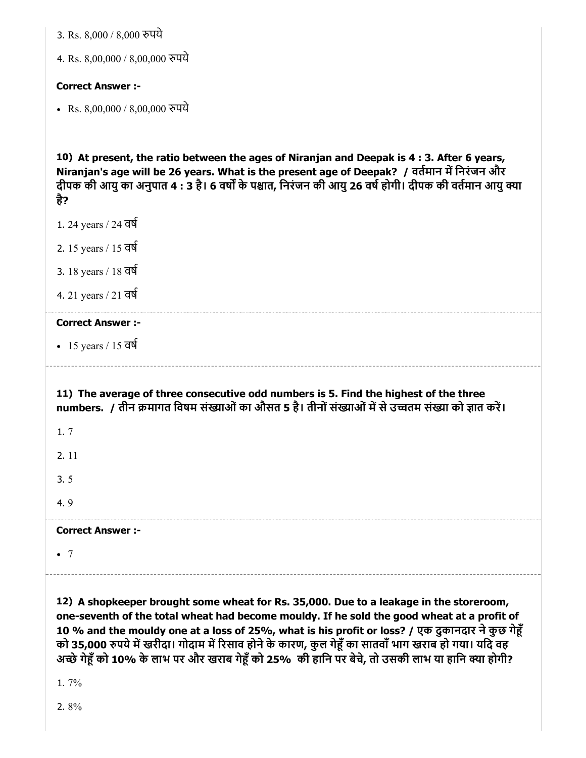|  |  | 3. Rs. 8,000 / 8,000 रुपये |  |  |
|--|--|----------------------------|--|--|
|--|--|----------------------------|--|--|

4. Rs. 8,00,000 / 8,00,000 पये

#### Correct Answer :-

• Rs. 8,00,000 / 8,00,000 रुपये

10) At present, the ratio between the ages of Niranjan and Deepak is 4 : 3. After 6 years, Niranjan's age will be 26 years. What is the present age of Deepak? / वर्तमान में निरंजन और दीपक की आयु का अनुपात 4 : 3 है। 6 वर्षों के पश्चात, निरंजन की आयु 26 वर्ष होगी। दीपक की वर्तमान आयु क्या है?

- 1. 24 years / 24 वष
- 2. 15 years / 15 वष
- 3. 18 years / 18 वष
- 4. 21 years / 21 वष

#### Correct Answer :-

• 15 years / 15 वर्ष

11) The average of three consecutive odd numbers is 5. Find the highest of the three numbers. / तीन क्रमागत विषम संख्याओं का औसत 5 है। तीनों संख्याओं में से उच्चतम संख्या को ज्ञात करें।

1. 7

2. 11

3. 5

4. 9

Correct Answer :-

 $\bullet$  7

12) A shopkeeper brought some wheat for Rs. 35,000. Due to a leakage in the storeroom, one-seventh of the total wheat had become mouldy. If he sold the good wheat at a profit of 10 % and the mouldy one at a loss of 25%, what is his profit or loss? / एक दुकानदार ने कुछ गेहूँ को 35,000 रुपये में खरीदा। गोदाम में रिसाव होने के कारण, कुल गेहूँ का सातवाँ भाग खराब हो गया। यदि वह अच्छे गेहूँ को 10% के लाभ पर और खराब गेहूँ को 25% की हानि पर बेचे, तो उसकी लाभ या हानि क्या होगी?

1. 7%

2. 8%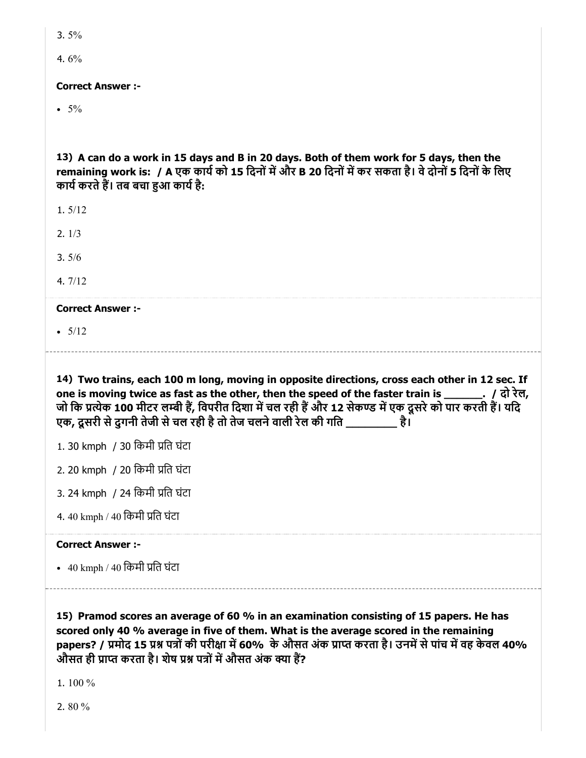| M.<br>۰. | ۰.<br>× |
|----------|---------|
|          |         |

4. 6%

#### Correct Answer :-

 $• 5\%$ 

13) A can do a work in 15 days and B in 20 days. Both of them work for 5 days, then the remaining work is: / A एक कार्य को 15 दिनों में और B 20 दिनों में कर सकता है। वे दोनों 5 दिनों के लिए कार्य करते हैं। तब बचा हुआ कार्य है:

1. 5/12

2. 1/3

3. 5/6

4. 7/12

Correct Answer :-

 $• 5/12$ 

14) Two trains, each 100 m long, moving in opposite directions, cross each other in 12 sec. If one is moving twice as fast as the other, then the speed of the faster train is \_\_\_\_\_\_. / दो रेल, जो कि प्रत्येक 100 मीटर लम्बी हैं, विपरीत दिशा में चल रही हैं और 12 सेकण्ड में एक दूसरे को पार करती हैं। यदि एक, दूसरी से दगनी तेजी से चल रही है तो तेज चलने वाली रेल की गति \_\_\_\_\_\_\_\_\_ है।

1. 30 kmph / 30 िकमी ित घंटा

2. 20 kmph / 20 िकमी ित घंटा

3. 24 kmph / 24 िकमी ित घंटा

4. 40 kmph / 40 किमी प्रति घंटा

#### Correct Answer :-

• 40 kmph / 40 किमी प्रति घंटा

15) Pramod scores an average of 60 % in an examination consisting of 15 papers. He has scored only 40 % average in five of them. What is the average scored in the remaining papers? / प्रमोद 15 प्रश्न पत्रों की परीक्षा में 60% के औसत अंक प्राप्त करता है। उनमें से पांच में वह केवल 40% औसत ही प्राप्त करता है। शेष प्रश्न पत्रों में औसत अंक क्या हैं?

1. 100 %

2. 80 %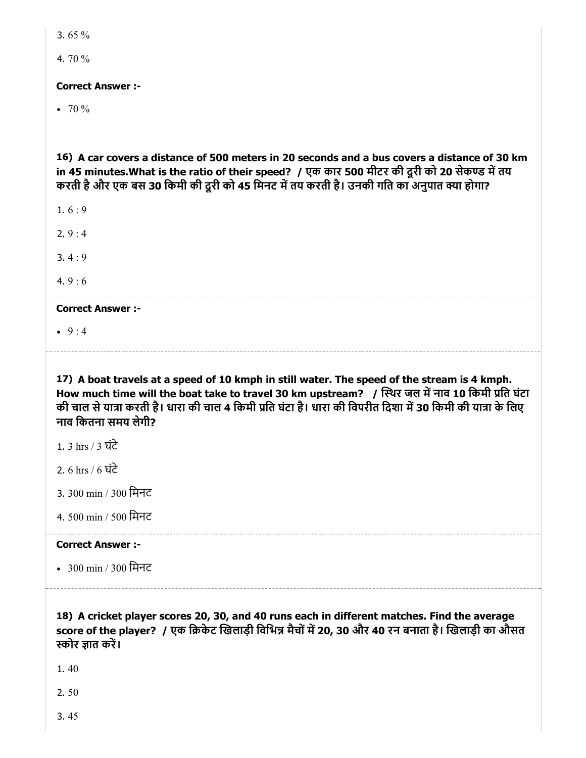3. 65 %

4. 70 %

#### Correct Answer :-

 $\bullet$  70 %

16) A car covers a distance of 500 meters in 20 seconds and a bus covers a distance of 30 km in 45 minutes.What is the ratio of their speed? / एक कार 500 मीटर की दूरी को 20 सेकण्ड में तय करती है और एक बस 30 किमी की दूरी को 45 मिनट में तय करती है। उनकी गति का अनुपात क्या होगा?

 $1.6:9$ 

2. 9 : 4

3. 4 : 9

4.  $9:6$ 

Correct Answer :-

 $9:4$ 

17) A boat travels at a speed of 10 kmph in still water. The speed of the stream is 4 kmph. How much time will the boat take to travel 30 km upstream?  $\,$  / स्थिर जल में नाव 10 किमी प्रति घंटा की चाल से यात्रा करती है। धारा की चाल 4 किमी प्रति घंटा है। धारा की विपरीत दिशा में 30 किमी की यात्रा के लिए नाव िकतना समय लेगी?

- 1. 3 hrs / 3 घंटे
- 2. 6 hrs / 6 घंटे
- 3. 300 min / 300 िमनट
- 4. 500 min / 500 िमनट

# Correct Answer :-

300 min / 300 िमनट

18) A cricket player scores 20, 30, and 40 runs each in different matches. Find the average

score of the player? / एक क्रिकेट खिलाड़ी विभिन्न मैचों में 20, 30 और 40 रन बनाता है। खिलाड़ी का औसत स्कोर ज्ञात करें।

1. 40

2. 50

3. 45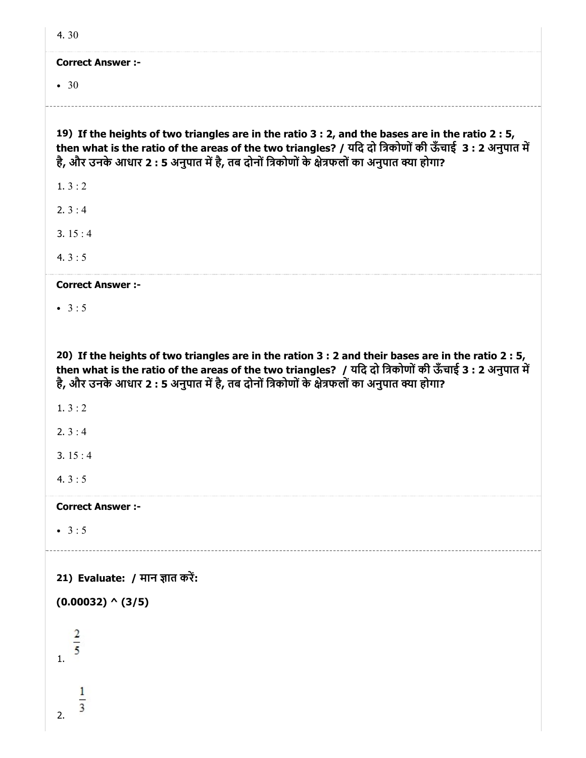| 4.30                                                                                                                                                                                                                                                                                                          |
|---------------------------------------------------------------------------------------------------------------------------------------------------------------------------------------------------------------------------------------------------------------------------------------------------------------|
| <b>Correct Answer :-</b>                                                                                                                                                                                                                                                                                      |
| $\bullet$ 30                                                                                                                                                                                                                                                                                                  |
|                                                                                                                                                                                                                                                                                                               |
| 19) If the heights of two triangles are in the ratio 3 : 2, and the bases are in the ratio 2 : 5,<br>then what is the ratio of the areas of the two triangles? / यदि दो त्रिकोणों की ऊँचाई 3: 2 अनुपात में<br>है, और उनके आधार 2 : 5 अनुपात में है, तब दोनों त्रिकोणों के क्षेत्रफलों का अनुपात क्या होगा?    |
| 1.3:2                                                                                                                                                                                                                                                                                                         |
| 2. $3:4$                                                                                                                                                                                                                                                                                                      |
| 3. $15:4$                                                                                                                                                                                                                                                                                                     |
| 4. $3:5$                                                                                                                                                                                                                                                                                                      |
| <b>Correct Answer :-</b>                                                                                                                                                                                                                                                                                      |
| • $3:5$                                                                                                                                                                                                                                                                                                       |
|                                                                                                                                                                                                                                                                                                               |
| 20) If the heights of two triangles are in the ration 3 : 2 and their bases are in the ratio 2 : 5,<br>then what is the ratio of the areas of the two triangles? / यदि दो त्रिकोणों की ऊँचाई 3 : 2 अनुपात में<br>है, और उनके आधार 2 : 5 अनुपात में है, तब दोनों त्रिकोणों के क्षेत्रफलों का अनुपात क्या होगा? |
| 1. $3:2$                                                                                                                                                                                                                                                                                                      |
| 2.3:4                                                                                                                                                                                                                                                                                                         |
| 3. $15:4$                                                                                                                                                                                                                                                                                                     |
| 4. $3:5$                                                                                                                                                                                                                                                                                                      |
| <b>Correct Answer :-</b>                                                                                                                                                                                                                                                                                      |
| • $3:5$                                                                                                                                                                                                                                                                                                       |
|                                                                                                                                                                                                                                                                                                               |
| 21) Evaluate: / मान ज्ञात करें:                                                                                                                                                                                                                                                                               |
| $(0.00032)$ ^ $(3/5)$                                                                                                                                                                                                                                                                                         |
| $\mathbf{1}$ .                                                                                                                                                                                                                                                                                                |
| $\overline{3}$<br>2.                                                                                                                                                                                                                                                                                          |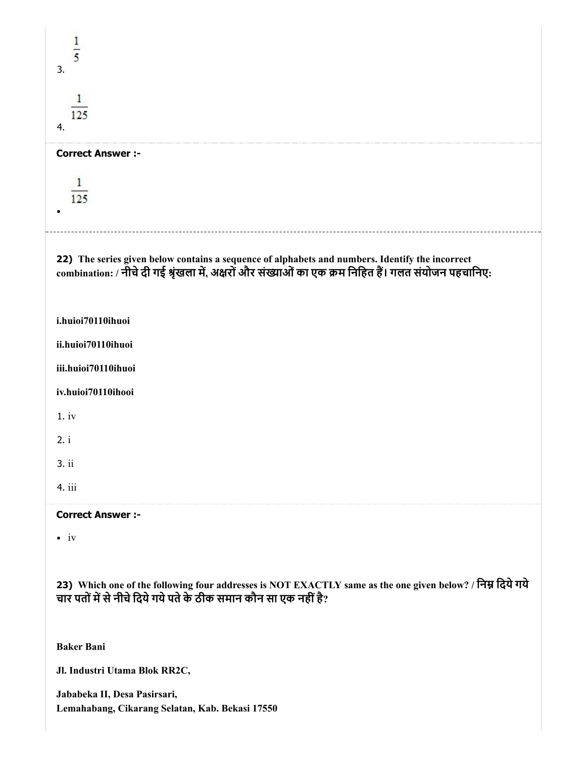| 3.                                                                                                                                                                                                       |
|----------------------------------------------------------------------------------------------------------------------------------------------------------------------------------------------------------|
| 125<br>4.                                                                                                                                                                                                |
| <b>Correct Answer :-</b>                                                                                                                                                                                 |
| 125                                                                                                                                                                                                      |
| 22) The series given below contains a sequence of alphabets and numbers. Identify the incorrect<br>combination: / नीचे दी गई श्रृंखला में, अक्षरों और संख्याओं का एक क्रम निहित हैं। गलत संयोजन पहचानिए: |
| i.huioi70110ihuoi                                                                                                                                                                                        |
| ii.huioi70110ihuoi                                                                                                                                                                                       |
| iii.huioi70110ihuoi                                                                                                                                                                                      |
| iv.huioi70110ihooi                                                                                                                                                                                       |
| 1.iv                                                                                                                                                                                                     |
| 2. i                                                                                                                                                                                                     |
| 3. ii                                                                                                                                                                                                    |
| 4. iii                                                                                                                                                                                                   |
| <b>Correct Answer :-</b>                                                                                                                                                                                 |
| $\bullet$ iv                                                                                                                                                                                             |
| 23) Which one of the following four addresses is NOT EXACTLY same as the one given below? / निम्न दिये गये<br>चार पतों में से नीचे दिये गये पते के ठीक समान कौन सा एक नहीं है?                           |
| <b>Baker Bani</b>                                                                                                                                                                                        |
| Jl. Industri Utama Blok RR2C,                                                                                                                                                                            |
| Jababeka II, Desa Pasirsari,<br>Lemahabang, Cikarang Selatan, Kab. Bekasi 17550                                                                                                                          |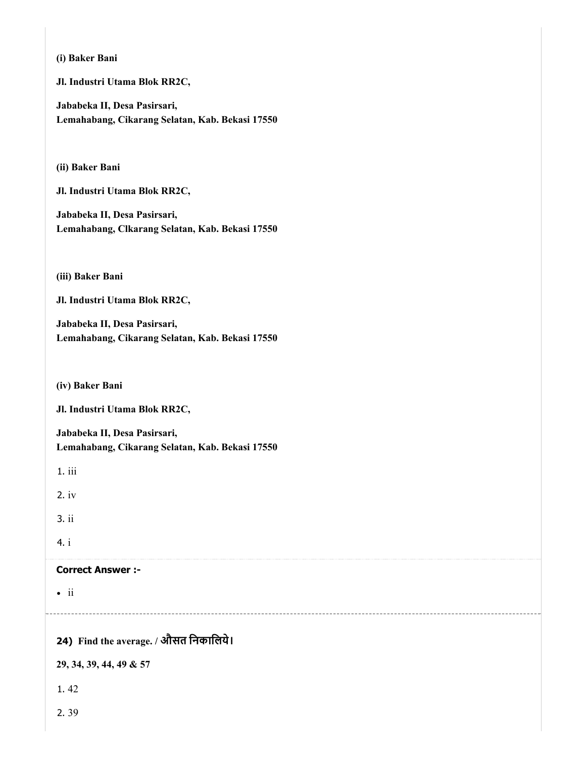|              | (i) Baker Bani                                                                  |
|--------------|---------------------------------------------------------------------------------|
|              | Jl. Industri Utama Blok RR2C,                                                   |
|              | Jababeka II, Desa Pasirsari,<br>Lemahabang, Cikarang Selatan, Kab. Bekasi 17550 |
|              | (ii) Baker Bani                                                                 |
|              | Jl. Industri Utama Blok RR2C,                                                   |
|              | Jababeka II, Desa Pasirsari,<br>Lemahabang, Clkarang Selatan, Kab. Bekasi 17550 |
|              | (iii) Baker Bani                                                                |
|              | Jl. Industri Utama Blok RR2C,                                                   |
|              | Jababeka II, Desa Pasirsari,<br>Lemahabang, Cikarang Selatan, Kab. Bekasi 17550 |
|              | (iv) Baker Bani                                                                 |
|              | Jl. Industri Utama Blok RR2C,                                                   |
|              | Jababeka II, Desa Pasirsari,<br>Lemahabang, Cikarang Selatan, Kab. Bekasi 17550 |
| 1. iii       |                                                                                 |
| $2.$ iv      |                                                                                 |
| 3. ii        |                                                                                 |
| 4. i         |                                                                                 |
|              | <b>Correct Answer :-</b>                                                        |
| $\bullet$ ii |                                                                                 |
|              | 24) Find the average. / औसत निकालिये।                                           |
|              | 29, 34, 39, 44, 49 & 57                                                         |
| 1.42         |                                                                                 |
| 2.39         |                                                                                 |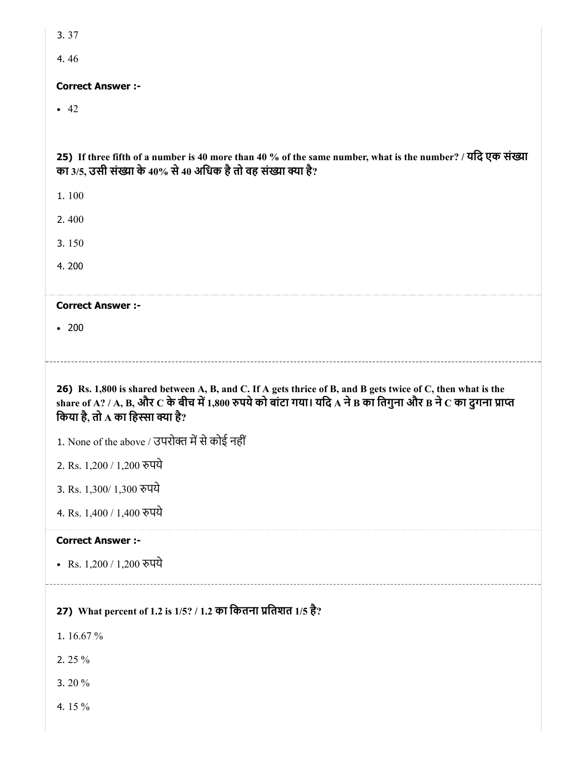4. 46

#### Correct Answer :-

 $-42$ 

25) If three fifth of a number is 40 more than 40 % of the same number, what is the number? / यदि एक संख्या का 3/5, उसी संख्या के 40% से 40 अधिक है तो वह संख्या क्या है?

1. 100

2. 400

3. 150

4. 200

#### Correct Answer :-

• 200

26) Rs. 1,800 is shared between A, B, and C. If A gets thrice of B, and B gets twice of C, then what is the share of A? / A, B, और  $C$  के बीच में 1,800 रुपये को बांटा गया। यदि A ने B का तिगुना और B ने C का दुगना प्राप्त किया है, तो  $\bf A$  का हिस्सा क्या है?

1. None of the above / उपरोक्त में से कोई नहीं

2. Rs. 1,200 / 1,200 पये

3. Rs. 1,300/ 1,300 पये

4. Rs. 1,400 / 1,400 पये

#### Correct Answer :-

• Rs. 1,200 / 1,200 रुपये

27) What percent of 1.2 is 1/5? / 1.2 का कितना प्रतिशत 1/5 है?

- 1. 16.67 %
- 2. 25 %
- 3. 20 %
- 4. 15 %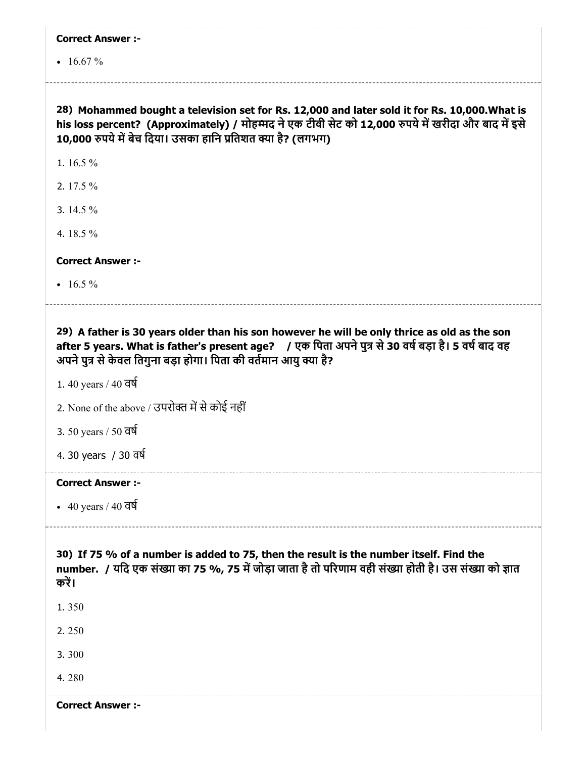|  | <b>Correct Answer :-</b> |  |
|--|--------------------------|--|
|--|--------------------------|--|

 $\cdot$  16.67 %

# 28) Mohammed bought a television set for Rs. 12,000 and later sold it for Rs. 10,000.What is his loss percent? (Approximately) / मोहम्मद ने एक टीवी सेट को 12,000 रुपये में खरीदा और बाद में इसे 10,000 रुपये में बेच दिया। उसका हानि प्रतिशत क्या है? (लगभग)

1. 16.5 %

2. 17.5 %

3. 14.5 %

4. 18.5 %

Correct Answer :-

 $\cdot$  16.5 %

29) A father is 30 years older than his son however he will be only thrice as old as the son after 5 years. What is father's present age? / एक पिता अपने पुत्र से 30 वर्ष बड़ा है। 5 वर्ष बाद वह

अपने पुत्र से केवल तिगुना बड़ा होगा। पिता की वर्तमान आयु क्या है?

1. 40 years / 40 वष

2. None of the above / उपरोक्त में से कोई नहीं

3. 50 years / 50 वष

4. 30 years / 30 वष

#### Correct Answer :-

 $\cdot$  40 years / 40 वर्ष

30) If 75 % of a number is added to 75, then the result is the number itself. Find the number. / यदि एक संख्या का 75 %, 75 में जोड़ा जाता है तो परिणाम वही संख्या होती है। उस संख्या को ज्ञात करें।

1. 350

2. 250

3. 300

4. 280

Correct Answer :-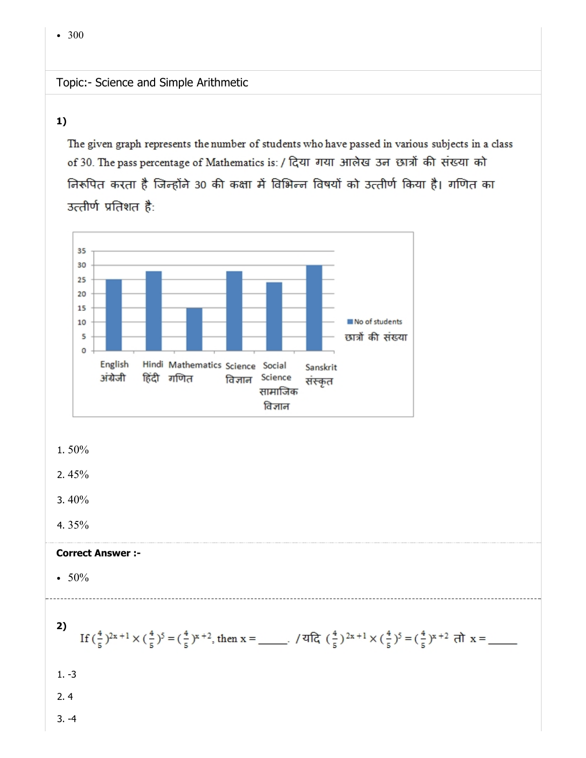# Topic:- Science and Simple Arithmetic

#### 1)

The given graph represents the number of students who have passed in various subjects in a class of 30. The pass percentage of Mathematics is: / दिया गया आलेख उन छात्रों की संख्या को निरूपित करता है जिन्होंने 30 की कक्षा में विभिन्न विषयों को उत्तीर्ण किया है। गणित का उत्तीर्ण प्रतिशत है:



#### 1. 50%

2. 45%

- 3. 40%
- 4. 35%

#### Correct Answer :-

- $50%$
- 2) If  $(\frac{4}{5})^{2x+1} \times (\frac{4}{5})^5 = (\frac{4}{5})^{x+2}$ , then  $x =$  \_\_\_\_\_, / यदि  $(\frac{4}{5})^{2x+1} \times (\frac{4}{5})^5 = (\frac{4}{5})^{x+2}$  तो  $x =$  \_\_\_\_\_ 1. -3 2. 4 3. -4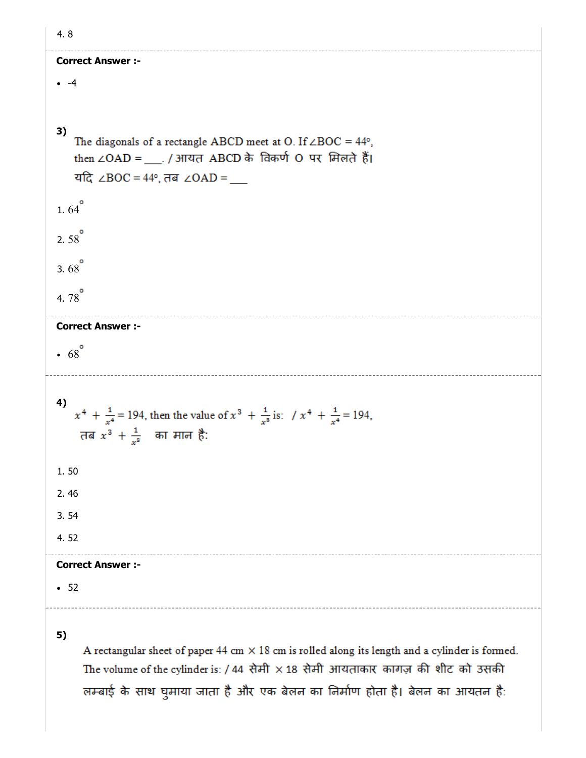| ٦<br>×<br>$\overline{\phantom{a}}$ |
|------------------------------------|
|                                    |

# Correct Answer :-  $-4$ 3) The diagonals of a rectangle ABCD meet at O. If  $\angle BOC = 44^{\circ}$ , then ∠OAD =  $\ldots$  / आयत ABCD के विकर्ण O पर मिलते हैं। यदि ∠BOC = 44°, तब ∠OAD = 1.64 $^{\circ}$ 2.58 $^{\circ}$ 3.68 $^{\circ}$ 4.  $78^{\circ}$ Correct Answer :-  $.68^{\circ}$ 4)  $x^4 + \frac{1}{x^4} = 194$ , then the value of  $x^3 + \frac{1}{x^3}$  is:  $x^4 + \frac{1}{x^4} = 194$ , तब  $x^3 + \frac{1}{x^8}$  का मान है: 1. 50 2. 46 3. 54 4. 52 Correct Answer :- 525)

A rectangular sheet of paper 44 cm  $\times$  18 cm is rolled along its length and a cylinder is formed. The volume of the cylinder is: / 44 सेमी  $\times$  18 सेमी आयताकार कागज़ की शीट को उसकी लम्बाई के साथ घुमाया जाता है और एक बेलन का निर्माण होता है। बेलन का आयतन है: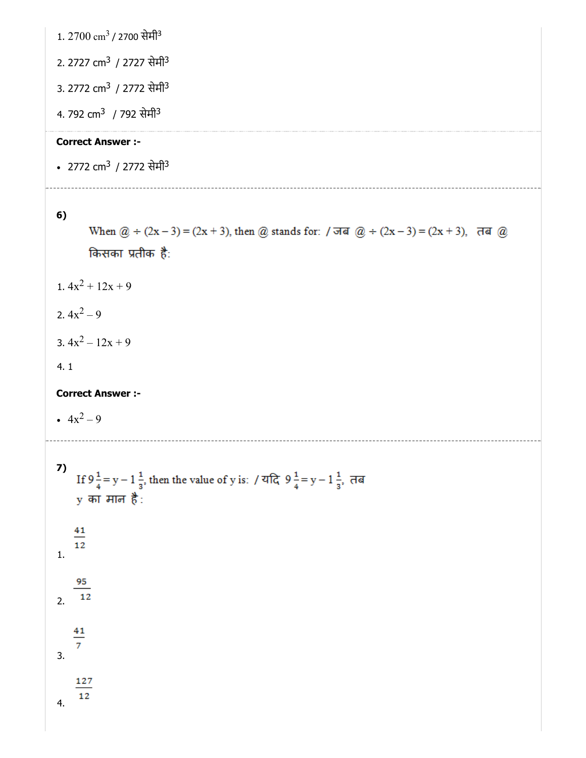1. 2700 cm<sup>3</sup> / 2700 सेमी<sup>3</sup>

2. 2727 cm<sup>3</sup> / 2727 सेमी<sup>3</sup>

3. 2772 cm<sup>3</sup> / 2772 सेमी<sup>3</sup>

4. 792 cm<sup>3</sup> / 792 सेमी<sup>3</sup>

### Correct Answer :-

2772 cm<sup>3</sup> / 2772 सेमी<sup>3</sup>

#### 6)

When  $@ + (2x-3) = (2x + 3)$ , then @ stands for:  $\pi$   $@ + (2x-3) = (2x + 3)$ ,  $\pi$ a @ किसका प्रतीक है: 1.  $4x^2 + 12x + 9$ 

- 2.  $4x^2 9$
- 3.  $4x^2 12x + 9$

#### 4. 1

Correct Answer :-

 $4x^2 - 9$ 

```
7)
     If 9\frac{1}{4} = y - 1\frac{1}{3}, then the value of y is: / यदि 9\frac{1}{4} = y - 1\frac{1}{3}, तब
     y का मान है:
     41
     121.
      95
    \overline{12}2.
     41
     \overline{7}3.
      127
      12
4.
```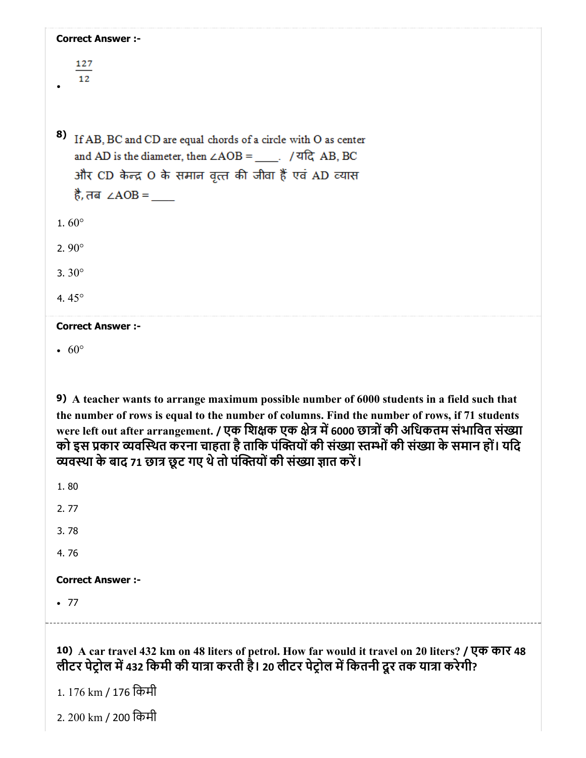| <b>Correct Answer :-</b>                                                                                                                                                                     |
|----------------------------------------------------------------------------------------------------------------------------------------------------------------------------------------------|
| 127                                                                                                                                                                                          |
| 12                                                                                                                                                                                           |
|                                                                                                                                                                                              |
| 8)<br>If AB, BC and CD are equal chords of a circle with O as center                                                                                                                         |
| and AD is the diameter, then $\angle AOB =$ $\Box$ . / यदि AB, BC                                                                                                                            |
| और CD केन्द्र O के समान वृत्त की जीवा हैं एवं AD व्यास<br>है, तब ∠AOB = $\_\_$                                                                                                               |
|                                                                                                                                                                                              |
| 1.60 $^{\circ}$                                                                                                                                                                              |
| 2.90 $^{\circ}$                                                                                                                                                                              |
| 3.30 $^{\circ}$                                                                                                                                                                              |
| 4.45 $^{\circ}$                                                                                                                                                                              |
| <b>Correct Answer :-</b>                                                                                                                                                                     |
| $\cdot 60^{\circ}$                                                                                                                                                                           |
|                                                                                                                                                                                              |
| 9) A teacher wants to arrange maximum possible number of 6000 students in a field such that<br>the number of rows is equal to the number of columns. Find the number of rows, if 71 students |
| were left out after arrangement. / एक शिक्षक एक क्षेत्र में 6000 छात्रों की अधिकतम संभावित संख्या                                                                                            |
| को इस प्रकार व्यवस्थित करना चाहता है ताकि पंक्तियों की संख्या स्तम्भों की संख्या के समान हों। यदि<br>व्यवस्था के बाद 71 छात्र छूट गए थे तो पंक्तियों की संख्या ज्ञात करें।                   |
| 1.80                                                                                                                                                                                         |
| 2.77                                                                                                                                                                                         |
| 3.78                                                                                                                                                                                         |
| 4.76                                                                                                                                                                                         |
| <b>Correct Answer :-</b>                                                                                                                                                                     |
| $\bullet$ 77                                                                                                                                                                                 |
|                                                                                                                                                                                              |
|                                                                                                                                                                                              |

10) A car travel 432 km on 48 liters of petrol. How far would it travel on 20 liters? / एक कार 48 लीटर पेट्रोल में 432 किमी की यात्रा करती है। 20 लीटर पेट्रोल में कितनी दूर तक यात्रा करेगी?

1. 176 km / 176 िकमी

2. 200 km / 200 िकमी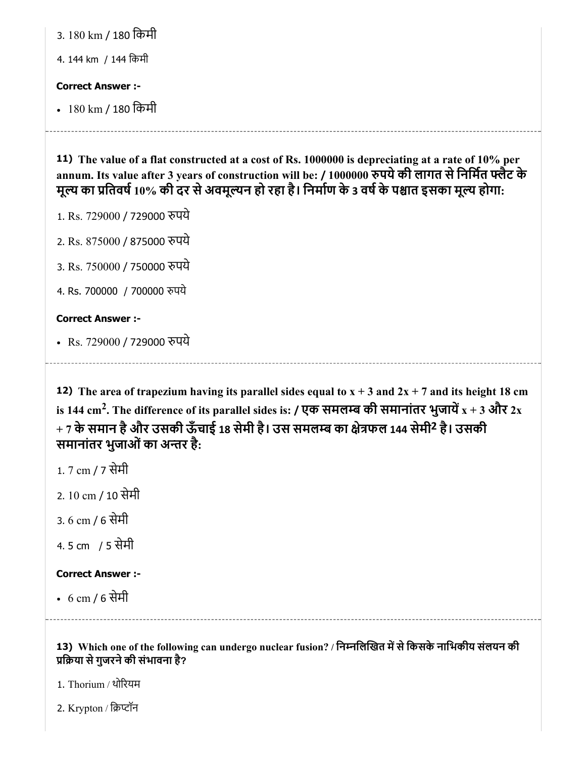| 3. 180 km / 180 किमी<br>4. 144 km / 144 किमी                                                                                                                                                                                                                                                                                                 |
|----------------------------------------------------------------------------------------------------------------------------------------------------------------------------------------------------------------------------------------------------------------------------------------------------------------------------------------------|
| <b>Correct Answer:-</b><br>• 180 km / 180 किमी                                                                                                                                                                                                                                                                                               |
| 11) The value of a flat constructed at a cost of Rs. 1000000 is depreciating at a rate of 10% per<br>annum. Its value after 3 years of construction will be: / 1000000 रुपये की लागत से निर्मित फ्लैट के<br>मूल्य का प्रतिवर्ष 10% की दर से अवमूल्यन हो रहा है। निर्माण के 3 वर्ष के पश्चात इसका मूल्य होगा:<br>1. Rs. 729000 / 729000 रुपये |

- 2. Rs. 875000 / 875000 पये
- 3. Rs. 750000 / 750000 पये
- 4. Rs. 700000 / 700000 पये

# Correct Answer :-

• Rs. 729000 / 729000 रुपये

**12)** The area of trapezium having its parallel sides equal to  $x + 3$  and  $2x + 7$  and its height 18 cm is 144 cm<sup>2</sup>. The difference of its parallel sides is: / एक समलम्ब की समानांतर भुजायें  $\mathrm{x}$  + 3 और 2 $\mathrm{x}$  $+$  7 के समान है और उसकी ऊँचाई 18 सेमी है। उस समलम्ब का क्षेत्रफल 144 सेमी<sup>2</sup> है। उसकी समानांतर भुजाओं का अन्तर है:

- 1. 7 cm / 7 सेमी
- 2. 10 cm / 10 सेमी
- 3. 6 cm / 6 सेमी
- 4. 5 cm / 5 सेमी

# Correct Answer :-

6 cm / 6 सेमी

# 13) Which one of the following can undergo nuclear fusion? / निम्नलिखित में से किसके नाभिकीय संलयन की िया सेगुजरनेकी संभावना है?

1. Thorium / थोरयम

2. Krypton / िटॉन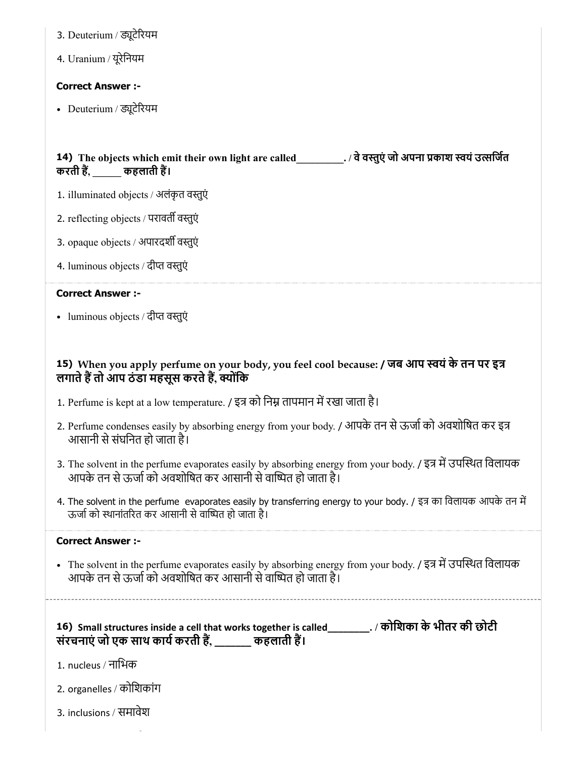- 3. Deuterium / ड्यूटेरियम
- 4. Uranium / यूरेनियम

#### Correct Answer :-

• Deuterium / ड्यूटेरियम

### 14) The objects which emit their own light are called\_\_\_\_\_\_\_\_\_. / वेवतुएं जो अपना काश वयंउसिजत करती हैं, \_\_\_\_\_\_ कहलाती हैं।

- 1. illuminated objects / अलंकृत वतुएं
- 2. reflecting objects / परावर्ती वस्तुएं
- 3. opaque objects / अपारदर्शी वस्तुएं
- 4. luminous objects / दीत वतुएं

#### Correct Answer :-

• luminous objects / दीप्त वस्तुएं

### 15) When you apply perfume on your body, you feel cool because: / जब आप यंके तन पर इ लगाते हैं तो आप ठंडा महसूस करते हैं, क्योंकि

- 1. Perfume is kept at a low temperature. / इत्र को निम्न तापमान में रखा जाता है।
- 2. Perfume condenses easily by absorbing energy from your body. / आपके तन से ऊर्जा को अवशोषित कर इत्र आसानी सेसंघिनत हो जाता है।
- 3. The solvent in the perfume evaporates easily by absorbing energy from your body. / इत्र में उपस्थित विलायक आपके तन से ऊर्जा को अवशोषित कर आसानी से वाष्पित हो जाता है।
- 4. The solvent in the perfume evaporates easily by transferring energy to your body. / इत्र का विलायक आपके तन में ऊर्जा को स्थानांतरित कर आसानी से वाष्पित हो जाता है।

#### Correct Answer :-

• The solvent in the perfume evaporates easily by absorbing energy from your body. / इत्र में उपस्थित विलायक आपके तन से ऊर्जा को अवशोषित कर आसानी से वाष्पित हो जाता है।

16) Small structures inside a cell that works together is called\_\_\_\_\_\_\_\_. / कोिशका के भीतर की छोटी संरचनाएं जो एक साथ कार्य करती हैं, \_\_\_\_\_\_\_ कहलाती हैं।

- 1. nucleus / नािभक
- 2. organelles / कोिशकांग
- 3. inclusions / समावेश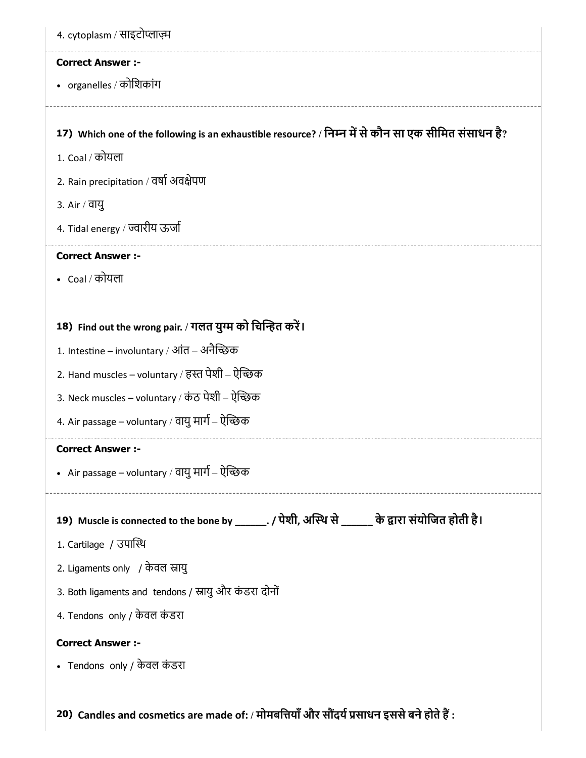| 4. cytoplasm / साइटोप्लाज़्म                                                                         |  |  |
|------------------------------------------------------------------------------------------------------|--|--|
| <b>Correct Answer :-</b>                                                                             |  |  |
| • organelles / कोशिकांग                                                                              |  |  |
| 17) Which one of the following is an exhaustible resource? / निम्न में से कौन सा एक सीमित संसाधन है? |  |  |
| 1. Coal / कोयला                                                                                      |  |  |
| 2. Rain precipitation / वर्षा अवक्षेपण                                                               |  |  |
| 3. Air / वायु                                                                                        |  |  |
| 4. Tidal energy / ज्वारीय ऊर्जा                                                                      |  |  |
| <b>Correct Answer :-</b>                                                                             |  |  |
| • Coal / कोयला                                                                                       |  |  |
|                                                                                                      |  |  |
| 18) Find out the wrong pair. / गलत युग्म को चिन्हित करें।                                            |  |  |
| 1. Intestine – involuntary / आंत – अनैच्छिक                                                          |  |  |
| 2. Hand muscles – voluntary / हस्त पेशी – ऐच्छिक                                                     |  |  |
| 3. Neck muscles – voluntary / कंठ पेशी – ऐच्छिक                                                      |  |  |
| 4. Air passage – voluntary / वायु मार्ग – ऐन्छिक                                                     |  |  |
| <b>Correct Answer :-</b>                                                                             |  |  |
| • Air passage – voluntary / वायु मार्ग – ऐन्छिक                                                      |  |  |
|                                                                                                      |  |  |
| 19) Muscle is connected to the bone by ______. / पेशी, अस्थि से ______ के द्वारा संयोजित होती है।    |  |  |
| 1. Cartilage / उपास्थि                                                                               |  |  |
| 2. Ligaments only / केवल स्नायु                                                                      |  |  |
| 3. Both ligaments and tendons / स्नायु और कंडरा दोनों                                                |  |  |
| 4. Tendons only / केवल कंडरा                                                                         |  |  |
| <b>Correct Answer :-</b>                                                                             |  |  |
| • Tendons only / केवल कंडरा                                                                          |  |  |
|                                                                                                      |  |  |

20) Candles and cosmetics are made of: / मोमबत्तियाँ और सौंदर्य प्रसाधन इससे बने होते हैं :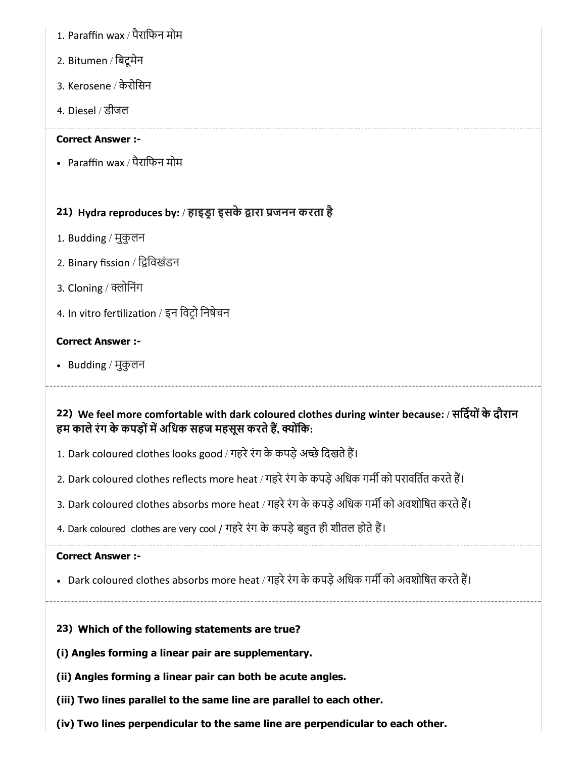- 1. Paraffin wax / पैरािफन मोम
- 2. Bitumen / िबटूमेन
- 3. Kerosene / केरोिसन
- 4. Diesel / डीजल

#### Correct Answer :-

Paraffin wax / पैरािफन मोम

# 21) Hydra reproduces by: / हाइड्रा इसके द्वारा प्रजनन करता है

- 1. Budding / मुकुलन
- 2. Binary fission / ििवखंडन
- 3. Cloning / क्लोनिंग
- 4. In vitro fertilization / इन विट्रो निषेचन

#### Correct Answer :-

• Budding / मुकुलन

# 22) We feel more comfortable with dark coloured clothes during winter because: / सिदयोंके दौरान हम काले रंग के कपड़ों में अधिक सहज महसूस करते हैं, क्योंकि:

- 1. Dark coloured clothes looks good / गहरे रंग के कपड़े अच्छे दिखते हैं।
- 2. Dark coloured clothes reflects more heat / गहरे रंग के कपड़े अधिक गर्मी को परावर्तित करते हैं।
- 3. Dark coloured clothes absorbs more heat / गहरे रंग के कपड़े अधिक गर्मी को अवशोषित करते हैं।
- 4. Dark coloured clothes are very cool / गहरे रंग के कपड़े बहुत ही शीतल होते हैं।

#### Correct Answer :-

- Dark coloured clothes absorbs more heat / गहरे रंग के कपड़े अधिक गर्मी को अवशोषित करते हैं।
- 

# 23) Which of the following statements are true?

- (i) Angles forming a linear pair are supplementary.
- (ii) Angles forming a linear pair can both be acute angles.
- (iii) Two lines parallel to the same line are parallel to each other.
- (iv) Two lines perpendicular to the same line are perpendicular to each other.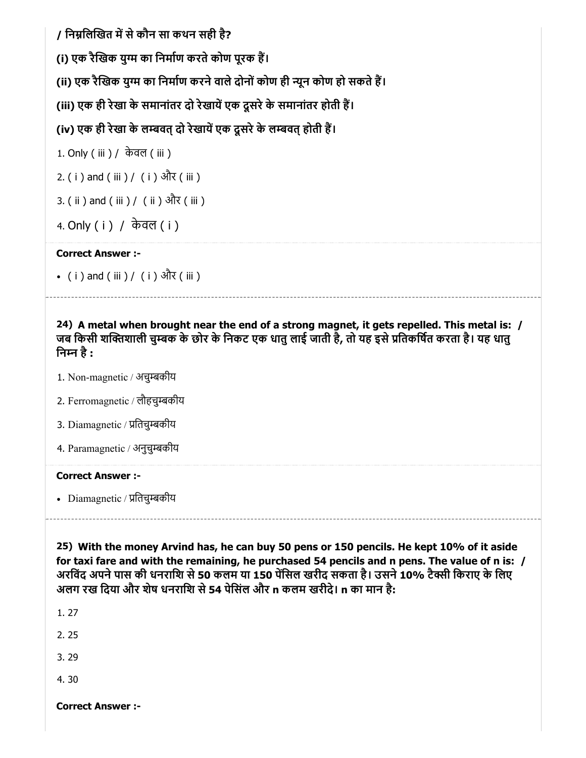/ निम्नलिखित में से कौन सा कथन सही है?

(i) एक रैखिक युग्म का निर्माण करते कोण पूरक हैं।

(ii) एक रैखिक युग्म का निर्माण करने वाले दोनों कोण ही न्यून कोण हो सकते हैं।

(iii) एक ही रेखा के समानांतर दो रेखायें एक दूसरे के समानांतर होती हैं।

(iv) एक ही रेखा के लम्बवत् दो रेखायें एक दूसरे के लम्बवत् होती हैं।

```
1. Only ( iii ) / केवल ( iii )
```
2. ( i ) and ( iii ) / ( i ) और ( iii )

```
3. ( ii ) and ( iii ) / ( ii ) और ( iii )
```

```
4. Only ( i ) / केवल ( i )
```
### Correct Answer :-

( i ) and ( iii ) / ( i ) और ( iii )

24) A metal when brought near the end of a strong magnet, it gets repelled. This metal is: / जब किसी शक्तिशाली चुम्बक के छोर के निकट एक धातु लाई जाती है, तो यह इसे प्रतिकर्षित करता है। यह धातु िनन है:

- 1. Non-magnetic / अचुबकीय
- 2. Ferromagnetic / लौहचुबकीय
- 3. Diamagnetic / प्रतिचुम्बकीय
- 4. Paramagnetic / अनुचुबकीय

#### Correct Answer :-

• Diamagnetic / प्रतिचुम्बकीय

25) With the money Arvind has, he can buy 50 pens or 150 pencils. He kept 10% of it aside for taxi fare and with the remaining, he purchased 54 pencils and n pens. The value of n is: / अरविंद अपने पास की धनराशि से 50 कलम या 150 पेंसिल खरीद सकता है। उसने 10% टैक्सी किराए के लिए अलग रख दिया और शेष धनराशि से 54 पेसिंल और n कलम खरीदे। n का मान है:

1. 27

2. 25

3. 29

4. 30

Correct Answer :-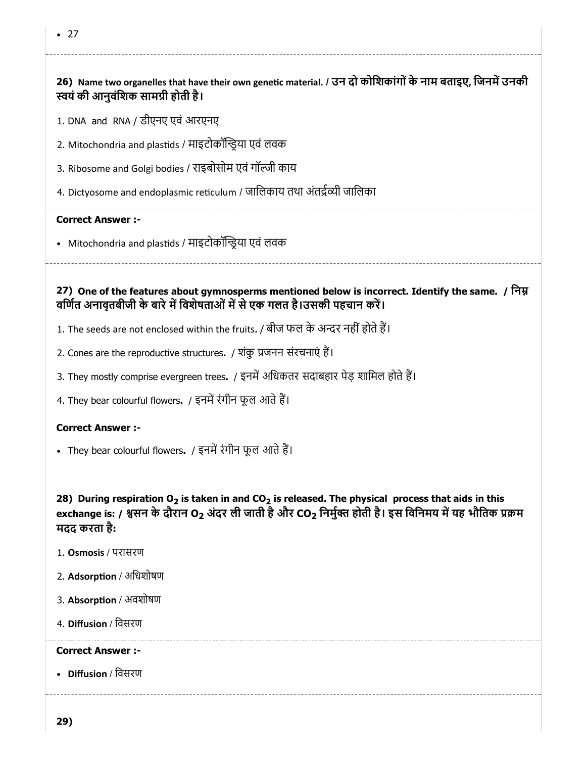# 26) Name two organelles that have their own genetic material. / उन दो कोशिकांगों के नाम बताइए, जिनमें उनकी स्वयं की आनुवंशिक सामग्री होती है।

1. DNA and RNA / डीएनए एवं आरएनए

- 2. Mitochondria and plastids / माइटोकॉन्ड्रिया एवं लवक
- 3. Ribosome and Golgi bodies / राइबोसोम एवं गॉजी काय
- 4. Dictyosome and endoplasmic reticulum / जालिकाय तथा अंतर्द्रव्यी जालिका

#### Correct Answer :-

• Mitochondria and plastids / माइटोकॉन्ड्रिया एवं लवक

27) One of the features about gymnosperms mentioned below is incorrect. Identify the same. / िन वर्णित अनावृतबीजी के बारे में विशेषताओं में से एक गलत है।उसकी पहचान करें।

- 1. The seeds are not enclosed within the fruits. / बीज फल के अन्दर नहीं होते हैं।
- 2. Cones are the reproductive structures. / शंकु जनन संरचनाएं ह।
- 3. They mostly comprise evergreen trees. / इनमें अधिकतर सदाबहार पेड़ शामिल होते हैं।
- 4. They bear colourful flowers. / इनमें रंगीन फूल आते हैं।

#### Correct Answer :-

• They bear colourful flowers. / इनमें रंगीन फूल आते हैं।

28) During respiration O<sub>2</sub> is taken in and CO<sub>2</sub> is released. The physical process that aids in this exchange is: / श्वसन के दौरान O2 अंदर ली जाती है और CO2 निर्मुक्त होती है। इस विनिमय में यह भौतिक प्रक्रम मदद करता है:

- 1. Osmosis / परासरण
- 2. Adsorption / अधिशोषण
- 3. Absorption / अवशोषण
- 4. Diffusion / िवसरण

#### Correct Answer :-

• Diffusion / विसरण